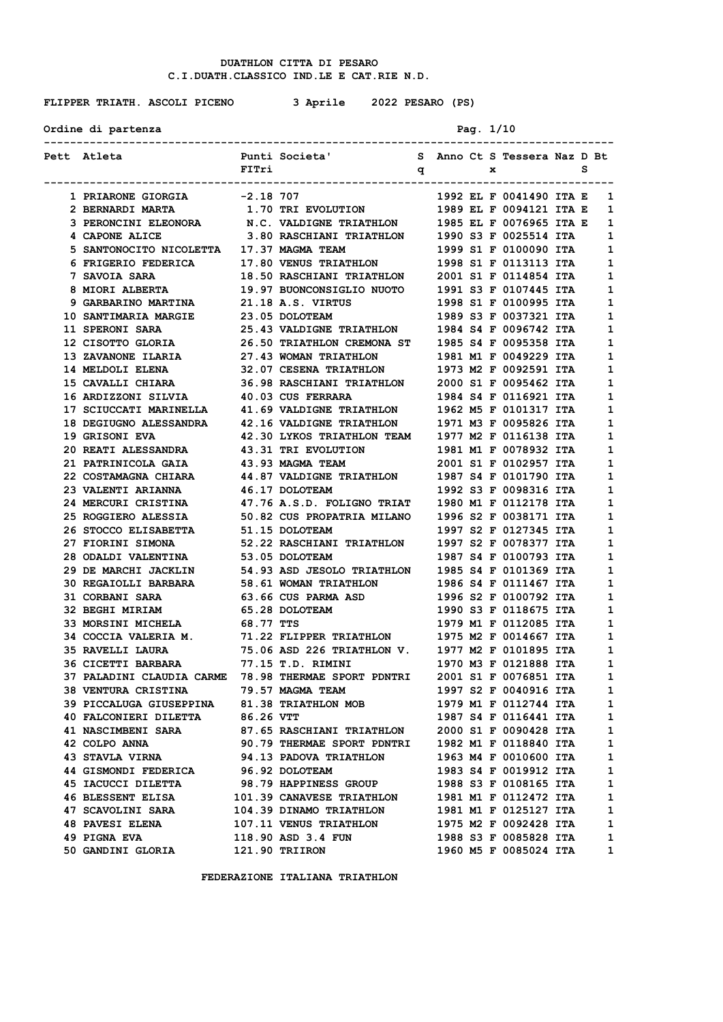**FLIPPER TRIATH. ASCOLI PICENO 3 Aprile 2022 PESARO (PS)**

Ordine di partenza **Pag.** 1/10

| Pett Atleta                                                                                                                                                                                                                             |           | Punti Societa' S Anno Ct S Tessera Naz D Bt    |  |  |                           |   |              |
|-----------------------------------------------------------------------------------------------------------------------------------------------------------------------------------------------------------------------------------------|-----------|------------------------------------------------|--|--|---------------------------|---|--------------|
|                                                                                                                                                                                                                                         | FITri     | $\mathbf q$ x                                  |  |  |                           | s |              |
|                                                                                                                                                                                                                                         |           |                                                |  |  |                           |   |              |
| 1 PRIARONE GIORGIA -2.18 707                                                                                                                                                                                                            |           |                                                |  |  | 1992 EL F 0041490 ITA E 1 |   |              |
| 2 BERNARDI MARTA $1.70$ TRI EVOLUTION 1989 EL F 0094121 ITA E 1                                                                                                                                                                         |           |                                                |  |  |                           |   |              |
| 3 PERONCINI ELEONORA N.C. VALDIGNE TRIATHLON 1985 EL F 0076965 ITA E                                                                                                                                                                    |           |                                                |  |  |                           |   | 1            |
| 4 CAPONE ALICE                                                                                                                                                                                                                          |           | 3.80 RASCHIANI TRIATHLON 1990 S3 F 0025514 ITA |  |  |                           |   | 1            |
|                                                                                                                                                                                                                                         |           |                                                |  |  |                           |   | 1            |
| 5 SANTONOCITO NICOLETTA 17.37 MAGMA TEAM 1999 S1 F 0100090 ITA<br>6 FRIGERIO FEDERICA 17.80 VENUS TRIATHLON 1998 S1 F 0113113 ITA<br>7 SAVOIA SARA 18.50 RASCHIANI TRIATHLON 2001 S1 F 0114854 ITA<br>8 MIORI ALBERTA 19.97 BUONCONS    |           |                                                |  |  |                           |   | 1            |
|                                                                                                                                                                                                                                         |           |                                                |  |  |                           |   | 1            |
|                                                                                                                                                                                                                                         |           |                                                |  |  |                           |   | 1            |
| 9 GARBARINO MARTINA 21.18 A.S. VIRTUS 1998 S1 F 0100995 ITA<br>10 SANTIMARIA MARGIE 23.05 DOLOTEAM 1989 S3 F 0037321 ITA                                                                                                                |           |                                                |  |  |                           |   | 1            |
|                                                                                                                                                                                                                                         |           |                                                |  |  |                           |   | 1            |
| <b>11 SPERONI SARA</b>                                                                                                                                                                                                                  |           | 25.43 VALDIGNE TRIATHLON 1984 S4 F 0096742 ITA |  |  |                           |   | 1            |
|                                                                                                                                                                                                                                         |           |                                                |  |  |                           |   | 1            |
|                                                                                                                                                                                                                                         |           |                                                |  |  |                           |   | 1            |
| 12 CISOTTO GLORIA 26.50 TRIATHLON CREMONA ST<br>13 ZAVANONE ILARIA 27.43 WOMAN TRIATHLON 1981 M1 F 0049229 ITA<br>14 MELDOLI ELENA 32.07 CESENA TRIATHLON 1973 M2 F 0092591 ITA                                                         |           |                                                |  |  |                           |   | 1            |
| 15 CAVALLI CHIARA 36.98 RASCHIANI TRIATHLON 2000 S1 F 0095462 ITA                                                                                                                                                                       |           |                                                |  |  |                           |   | 1            |
|                                                                                                                                                                                                                                         |           |                                                |  |  |                           |   | 1            |
| 16 ARDIZZONI SILVIA 40.03 CUS FERRARA 1984 S4 F 0116921 ITA<br>17 SCIUCCATI MARINELLA 41.69 VALDIGNE TRIATHLON 1962 M5 F 0101317 ITA                                                                                                    |           |                                                |  |  |                           |   | 1            |
|                                                                                                                                                                                                                                         |           |                                                |  |  |                           |   | 1            |
|                                                                                                                                                                                                                                         |           |                                                |  |  |                           |   | 1            |
|                                                                                                                                                                                                                                         |           |                                                |  |  |                           |   | 1            |
| 18 DEGIUGNO ALESSANDRA 42.16 VALDIGNE TRIATHLON 1971 M3 F 0095826 ITA<br>19 GRISONI EVA 42.30 LYKOS TRIATHLON TEAM 1977 M2 F 0116138 ITA<br>20 REATI ALESSANDRA 43.31 TRI EVOLUTION 1981 M1 F 0078932 ITA<br>21 PATRINICOLA GAIA 43.93  |           |                                                |  |  |                           |   | 1            |
|                                                                                                                                                                                                                                         |           |                                                |  |  |                           |   | 1            |
| 22 COSTAMAGNA CHIARA 44.87 VALDIGNE TRIATHLON 1987 S4 F 0101790 ITA                                                                                                                                                                     |           |                                                |  |  |                           |   |              |
|                                                                                                                                                                                                                                         |           |                                                |  |  |                           |   | 1            |
| 22 COSTAMAGNA CHIARA<br>23 VALENTI ARIANNA 46.17 DOLOTEAM 1992 S3 F 0098316 ITA<br>24 MERCURI CRISTINA 47.76 A.S.D. FOLIGNO TRIAT 1980 M1 F 0112178 ITA<br>25 ROGGIERO ALESSIA 50.82 CUS PROPATRIA MILANO 1996 S2 F 0038171 ITA<br>26   |           |                                                |  |  |                           |   | 1            |
|                                                                                                                                                                                                                                         |           |                                                |  |  |                           |   | 1            |
|                                                                                                                                                                                                                                         |           |                                                |  |  |                           |   | 1            |
|                                                                                                                                                                                                                                         |           |                                                |  |  |                           |   | 1            |
|                                                                                                                                                                                                                                         |           |                                                |  |  |                           |   | 1            |
| 29 DE MARCHI JACKLIN 54.93 ASD JESOLO TRIATHLON 1985 S4 F 0101369 ITA                                                                                                                                                                   |           |                                                |  |  |                           |   | 1            |
| 30 REGAIOLLI BARBARA 58.61 WOMAN TRIATHLON 1986 S4 F 0111467 ITA<br>31 CORBANI SARA 63.66 CUS PARMA ASD 1996 S2 F 0100792 ITA<br>32 BEGHI MIRIAM 65.28 DOLOTEAM 1990 S3 F 0118675 ITA<br>33 MORSINI MICHELA 68.77 TTS 1979 M1 F 0112085 |           |                                                |  |  |                           |   | 1            |
|                                                                                                                                                                                                                                         |           |                                                |  |  |                           |   | 1            |
|                                                                                                                                                                                                                                         |           |                                                |  |  |                           |   | 1            |
|                                                                                                                                                                                                                                         |           |                                                |  |  |                           |   | 1            |
| 34 COCCIA VALERIA M. 71.22 FLIPPER TRIATHLON 1975 M2 F 0014667 ITA                                                                                                                                                                      |           |                                                |  |  |                           |   | 1            |
| 35 RAVELLI LAURA 75.06 ASD 226 TRIATHLON V. 1977 M2 F 0101895 ITA                                                                                                                                                                       |           |                                                |  |  |                           |   | 1            |
| 36 CICETTI BARBARA 77.15 T.D. RIMINI 1970 M3 F 0121888 ITA<br>37 PALADINI CLAUDIA CARME 78.98 THERMAE SPORT PDNTRI 2001 S1 F 0076851 ITA                                                                                                |           |                                                |  |  |                           |   | 1            |
|                                                                                                                                                                                                                                         |           |                                                |  |  |                           |   | 1            |
| <b>38 VENTURA CRISTINA</b>                                                                                                                                                                                                              |           | 79.57 MAGMA TEAM                               |  |  | 1997 S2 F 0040916 ITA     |   | $\mathbf{1}$ |
| 39 PICCALUGA GIUSEPPINA                                                                                                                                                                                                                 |           | 81.38 TRIATHLON MOB                            |  |  | 1979 M1 F 0112744 ITA     |   | $\mathbf{1}$ |
| <b>40 FALCONIERI DILETTA</b>                                                                                                                                                                                                            | 86.26 VTT |                                                |  |  | 1987 S4 F 0116441 ITA     |   | 1            |
| <b>41 NASCIMBENI SARA</b>                                                                                                                                                                                                               |           | 87.65 RASCHIANI TRIATHLON                      |  |  | 2000 S1 F 0090428 ITA     |   | 1            |
| 42 COLPO ANNA                                                                                                                                                                                                                           |           | 90.79 THERMAE SPORT PDNTRI                     |  |  | 1982 M1 F 0118840 ITA     |   | 1            |
| <b>43 STAVLA VIRNA</b>                                                                                                                                                                                                                  |           | 94.13 PADOVA TRIATHLON                         |  |  | 1963 M4 F 0010600 ITA     |   | $\mathbf{1}$ |
| 44 GISMONDI FEDERICA                                                                                                                                                                                                                    |           | 96.92 DOLOTEAM                                 |  |  | 1983 S4 F 0019912 ITA     |   | 1            |
| <b>45 IACUCCI DILETTA</b>                                                                                                                                                                                                               |           | 98.79 HAPPINESS GROUP                          |  |  | 1988 S3 F 0108165 ITA     |   | 1            |
| <b>46 BLESSENT ELISA</b>                                                                                                                                                                                                                |           | 101.39 CANAVESE TRIATHLON                      |  |  | 1981 M1 F 0112472 ITA     |   | 1            |
| <b>47 SCAVOLINI SARA</b>                                                                                                                                                                                                                |           | 104.39 DINAMO TRIATHLON                        |  |  | 1981 M1 F 0125127 ITA     |   | 1            |
| <b>48 PAVESI ELENA</b>                                                                                                                                                                                                                  |           | 107.11 VENUS TRIATHLON                         |  |  | 1975 M2 F 0092428 ITA     |   | 1            |
| 49 PIGNA EVA                                                                                                                                                                                                                            |           | 118.90 ASD 3.4 FUN                             |  |  | 1988 S3 F 0085828 ITA     |   | 1            |
| 50 GANDINI GLORIA                                                                                                                                                                                                                       |           | 121.90 TRIIRON                                 |  |  | 1960 M5 F 0085024 ITA     |   | 1            |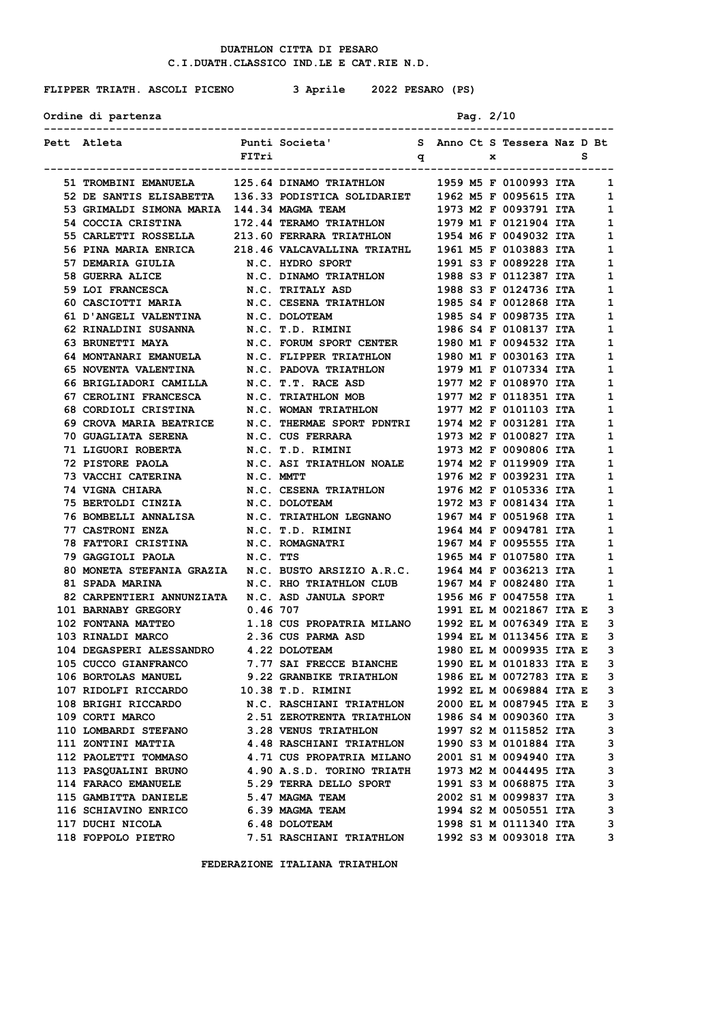**FLIPPER TRIATH. ASCOLI PICENO 3 Aprile 2022 PESARO (PS)**

| Ordine di partenza | Pag. $2/10$ |
|--------------------|-------------|
|--------------------|-------------|

| Pett Atleta                                                                                                                                                                                            |          | Punti Societa'                 S   Anno Ct S Tessera Naz D Bt |  |   |                                                |   |              |
|--------------------------------------------------------------------------------------------------------------------------------------------------------------------------------------------------------|----------|---------------------------------------------------------------|--|---|------------------------------------------------|---|--------------|
|                                                                                                                                                                                                        | FITri    | $\mathbf q$                                                   |  | x |                                                | s |              |
| --------------------------                                                                                                                                                                             |          |                                                               |  |   |                                                |   |              |
| 51 TROMBINI EMANUELA 125.64 DINAMO TRIATHLON 1959 M5 F 0100993 ITA 1                                                                                                                                   |          |                                                               |  |   |                                                |   |              |
| 52 DE SANTIS ELISABETTA 136.33 PODISTICA SOLIDARIET 1962 M5 F 0095615 ITA                                                                                                                              |          |                                                               |  |   |                                                |   | 1            |
| 53 GRIMALDI SIMONA MARIA 144.34 MAGMA TEAM                                                                                                                                                             |          |                                                               |  |   | 1973 M2 F 0093791 ITA                          |   | 1            |
| 54 COCCIA CRISTINA 172.44 TERAMO TRIATHLON 1979 M1 F 0121904 ITA                                                                                                                                       |          |                                                               |  |   |                                                |   | 1            |
| 55 CARLETTI ROSSELLA 213.60 FERRARA TRIATHLON 1954 M6 F 0049032 ITA                                                                                                                                    |          |                                                               |  |   |                                                |   | 1            |
| 56 PINA MARIA ENRICA                                                                                                                                                                                   |          | 218.46 VALCAVALLINA TRIATHL                                   |  |   | 1961 M5 F 0103883 ITA                          |   | 1            |
| 57 DEMARIA GIULIA                                                                                                                                                                                      |          | N.C. HYDRO SPORT                                              |  |   | 1991 S3 F 0089228 ITA                          |   | 1            |
| <b>58 GUERRA ALICE</b>                                                                                                                                                                                 |          | N.C. DINAMO TRIATHLON 1988 S3 F 0112387 ITA                   |  |   |                                                |   | 1            |
| 59 LOI FRANCESCA N.C. TRITALY ASD                                                                                                                                                                      |          |                                                               |  |   | 1988 S3 F 0124736 ITA                          |   | 1            |
| 60 CASCIOTTI MARIA M.C. CESENA TRIATHLON 1985 S4 F 0012868 ITA                                                                                                                                         |          |                                                               |  |   |                                                |   | 1            |
| 61 D'ANGELI VALENTINA                                                                                                                                                                                  |          | N.C. DOLOTEAM                                                 |  |   | 1985 S4 F 0098735 ITA                          |   | $\mathbf{1}$ |
| 62 RINALDINI SUSANNA                                                                                                                                                                                   |          |                                                               |  |   | 1986 S4 F 0108137 ITA                          |   | 1            |
| 63 BRUNETTI MAYA                                                                                                                                                                                       |          |                                                               |  |   |                                                |   | 1            |
| 64 MONTANARI EMANUELA N.C. FLIPPER TRIATHLON 1980 M1 F 0030163 ITA                                                                                                                                     |          |                                                               |  |   |                                                |   | 1            |
| 65 NOVENTA VALENTINA N.C. PADOVA TRIATHLON 1979 M1 F 0107334 ITA                                                                                                                                       |          |                                                               |  |   |                                                |   | 1            |
| 66 BRIGLIADORI CAMILLA N.C. T.T. RACE ASD 1977 M2 F 0108970 ITA                                                                                                                                        |          |                                                               |  |   |                                                |   | 1            |
| 67 CEROLINI FRANCESCA N.C. TRIATHLON MOB 1977 M2 F 0118351 ITA<br>68 CORDIOLI CRISTINA N.C. WOMAN TRIATHLON 1977 M2 F 0101103 ITA                                                                      |          |                                                               |  |   |                                                |   | 1            |
|                                                                                                                                                                                                        |          | N.C. WOMAN TRIATHLON                                          |  |   |                                                |   | $\mathbf{1}$ |
| 69 CROVA MARIA BEATRICE                                                                                                                                                                                |          | N.C. THERMAE SPORT PDNTRI                                     |  |   | 1974 M2 F 0031281 ITA                          |   | 1            |
| 70 GUAGLIATA SERENA N.C. CUS FERRARA                                                                                                                                                                   |          |                                                               |  |   | 1973 M2 F 0100827 ITA                          |   | 1            |
| 71 LIGUORI ROBERTA N.C. T.D. RIMINI 1973 M2 F 0090806 ITA                                                                                                                                              |          |                                                               |  |   |                                                |   | 1            |
| 72 PISTORE PAOLA                                                                                                                                                                                       |          | N.C. ASI TRIATHLON NOALE 1974 M2 F 0119909 ITA                |  |   |                                                |   | 1            |
| 73 VACCHI CATERINA N.C. MMTT                                                                                                                                                                           |          |                                                               |  |   | 1976 M2 F 0039231 ITA                          |   | 1            |
| <b>74 VIGNA CHIARA</b>                                                                                                                                                                                 |          |                                                               |  |   |                                                |   | $\mathbf{1}$ |
| 75 BERTOLDI CINZIA                                                                                                                                                                                     |          |                                                               |  |   |                                                |   | 1            |
| 76 BOMBELLI ANNALISA N.C. TRIATHLON LEGNANO 1967 M4 F 0051968 ITA                                                                                                                                      |          |                                                               |  |   |                                                |   | 1            |
| <b>77 CASTRONI ENZA</b>                                                                                                                                                                                |          | N.C. T.D. RIMINI                                              |  |   | 1964 M4 F 0094781 ITA                          |   | 1            |
| 78 FATTORI CRISTINA N.C. ROMAGNATRI 1967 M4 F 0095555 ITA                                                                                                                                              |          |                                                               |  |   |                                                |   | 1            |
| 79 GAGGIOLI PAOLA                                                                                                                                                                                      | N.C. TTS |                                                               |  |   | 1965 M4 F 0107580 ITA                          |   | 1            |
| 80 MONETA STEFANIA GRAZIA N.C. BUSTO ARSIZIO A.R.C.                                                                                                                                                    |          |                                                               |  |   | 1964 M4 F 0036213 ITA<br>1967 M4 F 0082480 ITA |   | $\mathbf{1}$ |
| 81 SPADA MARINA                                                                                                                                                                                        |          | N.C. RHO TRIATHLON CLUB                                       |  |   |                                                |   | 1            |
| 82 CARPENTIERI ANNUNZIATA N.C. ASD JANULA SPORT 1956 M6 F 0047558 ITA                                                                                                                                  |          |                                                               |  |   |                                                |   | 1            |
| 101 BARNABY GREGORY 0.46 707                                                                                                                                                                           |          |                                                               |  |   | 1991 EL M 0021867 ITA E                        |   | 3            |
| 102 FONTANA MATTEO 1.18 CUS PROPATRIA MILANO 1992 EL M 0076349 ITA E                                                                                                                                   |          |                                                               |  |   |                                                |   | 3            |
| 103 RINALDI MARCO                                                                                                                                                                                      |          |                                                               |  |   |                                                |   | 3            |
| 103 RINALDI MARCO 2.36 CUS PARMA ASD 1994 EL M 0113456 ITA E<br>104 DEGASPERI ALESSANDRO 4.22 DOLOTEAM 1980 EL M 0009935 ITA E<br>105 CUCCO GIANFRANCO 7.77 SAI FRECCE BIANCHE 1990 EL M 0101833 ITA E |          |                                                               |  |   |                                                |   | 3            |
|                                                                                                                                                                                                        |          |                                                               |  |   |                                                |   | 3            |
| 106 BORTOLAS MANUEL                                                                                                                                                                                    |          | 9.22 GRANBIKE TRIATHLON                                       |  |   | 1986 EL M 0072783 ITA E                        |   | 3            |
| 107 RIDOLFI RICCARDO                                                                                                                                                                                   |          | 10.38 T.D. RIMINI                                             |  |   | 1992 EL M 0069884 ITA E                        |   | 3            |
| 108 BRIGHI RICCARDO                                                                                                                                                                                    |          | N.C. RASCHIANI TRIATHLON                                      |  |   | 2000 EL M 0087945 ITA E                        |   | 3            |
| 109 CORTI MARCO                                                                                                                                                                                        |          | 2.51 ZEROTRENTA TRIATHLON                                     |  |   | 1986 S4 M 0090360 ITA                          |   | 3            |
| <b>110 LOMBARDI STEFANO</b>                                                                                                                                                                            |          | <b>3.28 VENUS TRIATHLON</b>                                   |  |   | 1997 S2 M 0115852 ITA                          |   | 3            |
| <b>111 ZONTINI MATTIA</b>                                                                                                                                                                              |          | <b>4.48 RASCHIANI TRIATHLON</b>                               |  |   | 1990 S3 M 0101884 ITA                          |   | 3            |
| 112 PAOLETTI TOMMASO                                                                                                                                                                                   |          | 4.71 CUS PROPATRIA MILANO                                     |  |   | 2001 S1 M 0094940 ITA                          |   | 3            |
| <b>113 PASQUALINI BRUNO</b>                                                                                                                                                                            |          | 4.90 A.S.D. TORINO TRIATH                                     |  |   | 1973 M2 M 0044495 ITA                          |   | 3            |
| <b>114 FARACO EMANUELE</b>                                                                                                                                                                             |          | 5.29 TERRA DELLO SPORT                                        |  |   | 1991 S3 M 0068875 ITA                          |   | 3            |
| 115 GAMBITTA DANIELE                                                                                                                                                                                   |          | 5.47 MAGMA TEAM                                               |  |   | 2002 S1 M 0099837 ITA                          |   | 3            |
| 116 SCHIAVINO ENRICO                                                                                                                                                                                   |          | 6.39 MAGMA TEAM                                               |  |   | 1994 S2 M 0050551 ITA                          |   | 3            |
| 117 DUCHI NICOLA                                                                                                                                                                                       |          | 6.48 DOLOTEAM                                                 |  |   | 1998 S1 M 0111340 ITA                          |   | 3            |
| <b>118 FOPPOLO PIETRO</b>                                                                                                                                                                              |          | 7.51 RASCHIANI TRIATHLON                                      |  |   | 1992 S3 M 0093018 ITA                          |   | 3            |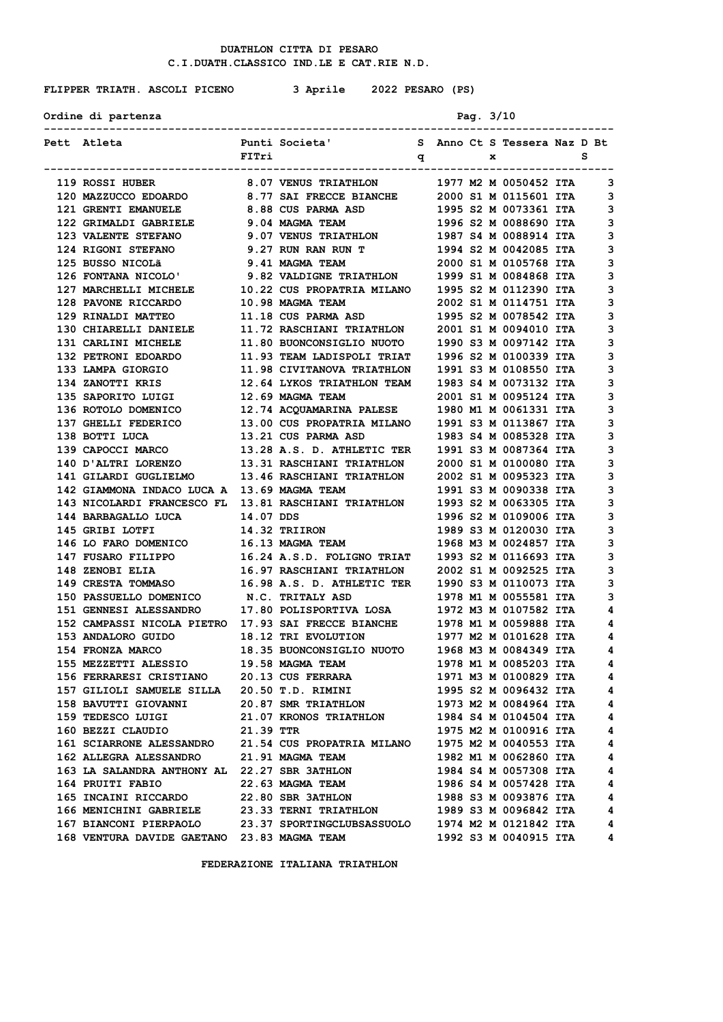# **FLIPPER TRIATH. ASCOLI PICENO 3 Aprile 2022 PESARO (PS)**

Ordine di partenza **Pag.** 3/10

| Pett Atleta                                                                                                                                                                                                   |           | Punti Societa' Sanno Ct S Tessera Naz D Bt                                                                                                                                                |  |  |                       |                         |
|---------------------------------------------------------------------------------------------------------------------------------------------------------------------------------------------------------------|-----------|-------------------------------------------------------------------------------------------------------------------------------------------------------------------------------------------|--|--|-----------------------|-------------------------|
|                                                                                                                                                                                                               | FITri     | $\mathbf{q}$ and $\mathbf{x}$                                                                                                                                                             |  |  |                       | s                       |
| 119 ROSSI HUBER 8.07 VENUS TRIATHLON 1977 M2 M 0050452 ITA                                                                                                                                                    |           |                                                                                                                                                                                           |  |  |                       | 3                       |
| 120 MAZZUCCO EDOARDO 8.77 SAI FRECCE BIANCHE 2000 S1 M 0115601 ITA                                                                                                                                            |           |                                                                                                                                                                                           |  |  |                       | 3                       |
| 121 GRENTI EMANUELE 8.88 CUS PARMA ASD 1995 S2 M 0073361 ITA                                                                                                                                                  |           |                                                                                                                                                                                           |  |  |                       | 3                       |
| 122 GRIMALDI GABRIELE 9.04 MAGMA TEAM 1996 S2 M 0088690 ITA                                                                                                                                                   |           |                                                                                                                                                                                           |  |  |                       | 3                       |
| <b>123 VALENTE STEFANO</b>                                                                                                                                                                                    |           |                                                                                                                                                                                           |  |  |                       | 3                       |
| <b>124 RIGONI STEFANO</b>                                                                                                                                                                                     |           |                                                                                                                                                                                           |  |  |                       | 3                       |
| 125 BUSSO NICOLÃ                                                                                                                                                                                              |           |                                                                                                                                                                                           |  |  | 2000 S1 M 0105768 ITA | 3                       |
| 126 FONTANA NICOLO' 9.82 VALDIGNE TRIATHLON 1999 S1 M 0084868 ITA                                                                                                                                             |           |                                                                                                                                                                                           |  |  |                       | 3                       |
| 127 MARCHELLI MICHELE 10.22 CUS PROPATRIA MILANO 1995 S2 M 0112390 ITA                                                                                                                                        |           |                                                                                                                                                                                           |  |  |                       | 3                       |
| 128 PAVONE RICCARDO                                                                                                                                                                                           |           | 10.98 MAGMA TEAM 2002 S1 M 0114751 ITA                                                                                                                                                    |  |  |                       | 3                       |
|                                                                                                                                                                                                               |           |                                                                                                                                                                                           |  |  |                       | 3                       |
|                                                                                                                                                                                                               |           |                                                                                                                                                                                           |  |  |                       | 3                       |
|                                                                                                                                                                                                               |           |                                                                                                                                                                                           |  |  |                       | 3                       |
| 132 PETRONI EDOARDO 11.93 TEAM LADISPOLI TRIAT 1996 S2 M 0100339 ITA                                                                                                                                          |           |                                                                                                                                                                                           |  |  |                       | 3                       |
| 133 LAMPA GIORGIO                                                                                                                                                                                             |           | 11.98 CIVITANOVA TRIATHLON 1991 S3 M 0108550 ITA                                                                                                                                          |  |  |                       | 3                       |
| 134 ZANOTTI KRIS 12.64 LYKOS TRIATHLON TEAM 1983 S4 M 0073132 ITA                                                                                                                                             |           |                                                                                                                                                                                           |  |  |                       | 3                       |
| 135 SAPORITO LUIGI 12.69 MAGMA TEAM                                                                                                                                                                           |           |                                                                                                                                                                                           |  |  |                       | 3                       |
| 136 ROTOLO DOMENICO                                                                                                                                                                                           |           | 12.69 MAGMA TEAM 2001 S1 M 0095124 ITA<br>12.74 ACQUAMARINA PALESE 1980 M1 M 0061331 ITA<br>13.00 CUS PROPATRIA MILANO 1991 S3 M 0113867 ITA<br>13.21 CUS PARMA ASD 1983 S4 M 0085328 ITA |  |  |                       | 3                       |
| 137 GHELLI FEDERICO                                                                                                                                                                                           |           |                                                                                                                                                                                           |  |  |                       | 3                       |
| 138 BOTTI LUCA                                                                                                                                                                                                |           |                                                                                                                                                                                           |  |  |                       | 3                       |
| 139 CAPOCCI MARCO 13.28 A.S. D. ATHLETIC TER 1991 S3 M 0087364 ITA                                                                                                                                            |           |                                                                                                                                                                                           |  |  |                       | 3                       |
| 140 D'ALTRI LORENZO 13.31 RASCHIANI TRIATHLON 2000 S1 M 0100080 ITA                                                                                                                                           |           |                                                                                                                                                                                           |  |  |                       | 3                       |
| 141 GILARDI GUGLIELMO 13.46 RASCHIANI TRIATHLON 2002 S1 M 0095323 ITA                                                                                                                                         |           |                                                                                                                                                                                           |  |  |                       | 3                       |
|                                                                                                                                                                                                               |           |                                                                                                                                                                                           |  |  |                       | 3                       |
| 142 GIAMMONA INDACO LUCA A 13.69 MAGMA TEAM 1991 S3 M 0090338 ITA<br>143 NICOLARDI FRANCESCO FL 13.81 RASCHIANI TRIATHLON 1993 S2 M 0063305 ITA                                                               |           |                                                                                                                                                                                           |  |  |                       | 3                       |
| <b>144 BARBAGALLO LUCA</b>                                                                                                                                                                                    | 14.07 DDS |                                                                                                                                                                                           |  |  | 1996 S2 M 0109006 ITA | 3                       |
| 145 GRIBI LOTFI 14.32 TRIIRON                                                                                                                                                                                 |           |                                                                                                                                                                                           |  |  | 1989 S3 M 0120030 ITA | 3                       |
| 146 LO FARO DOMENICO 16.13 MAGMA TEAM                                                                                                                                                                         |           |                                                                                                                                                                                           |  |  | 1968 M3 M 0024857 ITA | 3                       |
|                                                                                                                                                                                                               |           |                                                                                                                                                                                           |  |  |                       | 3                       |
| 147 FUSARO FILIPPO 16.24 A.S.D. FOLIGNO TRIAT 1993 S2 M 0116693 ITA<br>148 ZENOBI ELIA 16.97 RASCHIANI TRIATHLON 2002 S1 M 0092525 ITA<br>149 CRESTA TOMMASO 16.98 A.S. D. ATHLETIC TER 1990 S3 M 0110073 ITA |           |                                                                                                                                                                                           |  |  |                       | 3                       |
|                                                                                                                                                                                                               |           |                                                                                                                                                                                           |  |  |                       | 3                       |
| 150 PASSUELLO DOMENICO N.C. TRITALY ASD 1978 M1 M 0055581 ITA                                                                                                                                                 |           |                                                                                                                                                                                           |  |  |                       | 3                       |
| 151 GENNESI ALESSANDRO 17.80 POLISPORTIVA LOSA 1972 M3 M 0107582 ITA                                                                                                                                          |           |                                                                                                                                                                                           |  |  |                       | 4                       |
| 152 CAMPASSI NICOLA PIETRO 17.93 SAI FRECCE BIANCHE 1978 M1 M 0059888 ITA                                                                                                                                     |           |                                                                                                                                                                                           |  |  |                       | 4                       |
| 153 ANDALORO GUIDO 18.12 TRI EVOLUTION                                                                                                                                                                        |           |                                                                                                                                                                                           |  |  | 1977 M2 M 0101628 ITA | 4                       |
|                                                                                                                                                                                                               |           |                                                                                                                                                                                           |  |  |                       | 4                       |
| 154 FRONZA MARCO 18.35 BUONCONSIGLIO NUOTO 1968 M3 M 0084349 ITA<br>155 MEZZETTI ALESSIO 19.58 MAGMA TEAM 1978 M1 M 0085203 ITA                                                                               |           |                                                                                                                                                                                           |  |  |                       | 4                       |
| 156 FERRARESI CRISTIANO                                                                                                                                                                                       |           | <b>20.13 CUS FERRARA</b>                                                                                                                                                                  |  |  | 1971 M3 M 0100829 ITA | 4                       |
| 157 GILIOLI SAMUELE SILLA 20.50 T.D. RIMINI                                                                                                                                                                   |           |                                                                                                                                                                                           |  |  | 1995 S2 M 0096432 ITA | 4                       |
| 158 BAVUTTI GIOVANNI 20.87 SMR TRIATHLON                                                                                                                                                                      |           |                                                                                                                                                                                           |  |  | 1973 M2 M 0084964 ITA | 4                       |
| 159 TEDESCO LUIGI                                                                                                                                                                                             |           | <b>21.07 KRONOS TRIATHLON</b>                                                                                                                                                             |  |  | 1984 S4 M 0104504 ITA | 4                       |
| 160 BEZZI CLAUDIO                                                                                                                                                                                             | 21.39 TTR |                                                                                                                                                                                           |  |  | 1975 M2 M 0100916 ITA | $\overline{\mathbf{4}}$ |
| 161 SCIARRONE ALESSANDRO 21.54 CUS PROPATRIA MILANO                                                                                                                                                           |           |                                                                                                                                                                                           |  |  | 1975 M2 M 0040553 ITA | 4                       |
| 162 ALLEGRA ALESSANDRO                                                                                                                                                                                        |           | 21.91 MAGMA TEAM                                                                                                                                                                          |  |  | 1982 M1 M 0062860 ITA | 4                       |
| 163 LA SALANDRA ANTHONY AL 22.27 SBR 3ATHLON                                                                                                                                                                  |           |                                                                                                                                                                                           |  |  | 1984 S4 M 0057308 ITA | 4                       |
| 164 PRUITI FABIO                                                                                                                                                                                              |           | 22.63 MAGMA TEAM                                                                                                                                                                          |  |  | 1986 S4 M 0057428 ITA | 4                       |
| 165 INCAINI RICCARDO                                                                                                                                                                                          |           | 22.80 SBR 3ATHLON                                                                                                                                                                         |  |  | 1988 S3 M 0093876 ITA | 4                       |
| 166 MENICHINI GABRIELE                                                                                                                                                                                        |           | 23.33 TERNI TRIATHLON                                                                                                                                                                     |  |  | 1989 S3 M 0096842 ITA | 4                       |
| 167 BIANCONI PIERPAOLO                                                                                                                                                                                        |           | 23.37 SPORTINGCLUBSASSUOLO                                                                                                                                                                |  |  | 1974 M2 M 0121842 ITA | 4                       |
| 168 VENTURA DAVIDE GAETANO 23.83 MAGMA TEAM                                                                                                                                                                   |           |                                                                                                                                                                                           |  |  | 1992 S3 M 0040915 ITA | 4                       |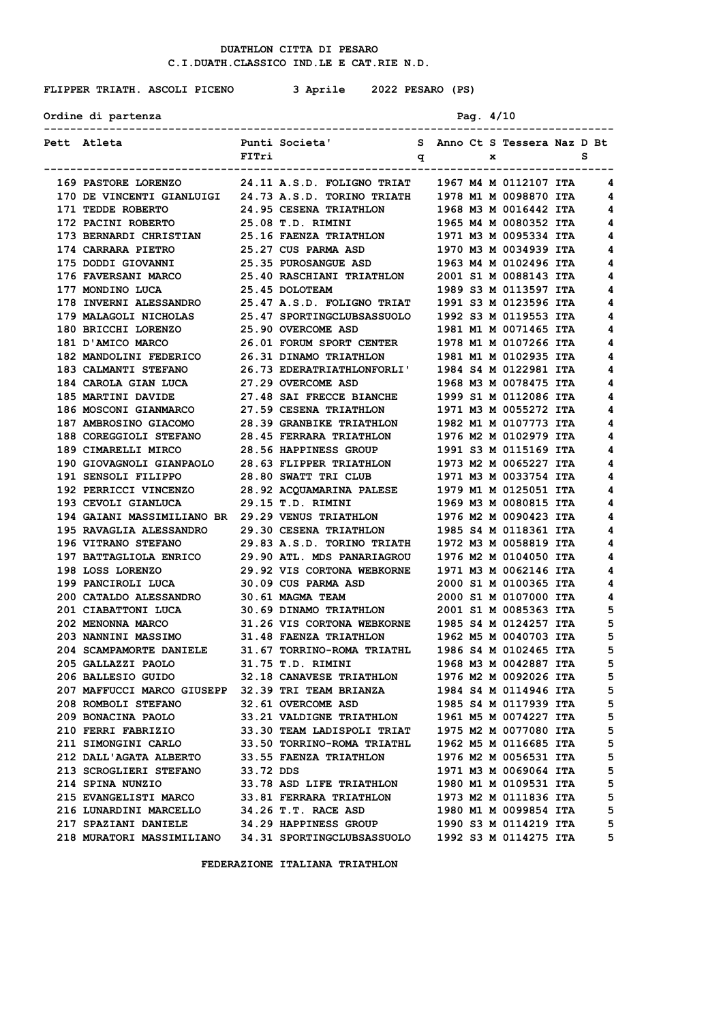# **FLIPPER TRIATH. ASCOLI PICENO 3 Aprile 2022 PESARO (PS)**

Ordine di partenza **Pag.** 4/10

| Pett Atleta                                                                                                                                                                                                                             |           | Punti Societa' S Anno Ct S Tessera Naz D Bt  |  |  |                       |   |
|-----------------------------------------------------------------------------------------------------------------------------------------------------------------------------------------------------------------------------------------|-----------|----------------------------------------------|--|--|-----------------------|---|
|                                                                                                                                                                                                                                         | FITri     | $\mathbf{q}$ x                               |  |  |                       | s |
| 169 PASTORE LORENZO 24.11 A.S.D. FOLIGNO TRIAT 1967 M4 M 0112107 ITA                                                                                                                                                                    |           |                                              |  |  |                       | 4 |
| 170 DE VINCENTI GIANLUIGI 24.73 A.S.D. TORINO TRIATH 1978 M1 M 0098870 ITA 4                                                                                                                                                            |           |                                              |  |  |                       |   |
| 171 TEDDE ROBERTO                                                                                                                                                                                                                       |           |                                              |  |  |                       | 4 |
|                                                                                                                                                                                                                                         |           | 24.95 CESENA TRIATHLON 1968 M3 M 0016442 ITA |  |  |                       | 4 |
| 172 PACINI ROBERTO 25.08 T.D. RIMINI 1965 M4 M 0080352 ITA                                                                                                                                                                              |           |                                              |  |  |                       |   |
|                                                                                                                                                                                                                                         |           |                                              |  |  |                       | 4 |
| 173 BERNARDI CHRISTIAN 25.16 FAENZA TRIATHLON 1971 M3 M 0095334 ITA<br>174 CARRARA PIETRO 25.27 CUS PARMA ASD 1970 M3 M 0034939 ITA<br>175 DODDI GIOVANNI 25.35 PUROSANGUE ASD 1963 M4 M 0102496 ITA<br>176 FAVERSANI MARCO 25.40 RASCH |           |                                              |  |  |                       | 4 |
|                                                                                                                                                                                                                                         |           |                                              |  |  |                       | 4 |
|                                                                                                                                                                                                                                         |           |                                              |  |  |                       | 4 |
| 177 MONDINO LUCA 25.45 DOLOTEAM                                                                                                                                                                                                         |           | 1989 S3 M 0113597 ITA                        |  |  |                       | 4 |
| 178 INVERNI ALESSANDRO 25.47 A.S.D. FOLIGNO TRIAT 1991 S3 M 0123596 ITA                                                                                                                                                                 |           |                                              |  |  |                       | 4 |
| 179 MALAGOLI NICHOLAS 25.47 SPORTINGCLUBSASSUOLO 1992 S3 M 0119553 ITA<br>180 BRICCHI LORENZO 25.90 OVERCOME ASD 1981 M1 M 0071465 ITA<br>181 D'AMICO MARCO 26.01 FORUM SPORT CENTER 1978 M1 M 0107266 ITA<br>182 MANDOLINI FEDERICO 2  |           |                                              |  |  |                       | 4 |
|                                                                                                                                                                                                                                         |           |                                              |  |  |                       | 4 |
|                                                                                                                                                                                                                                         |           |                                              |  |  |                       | 4 |
|                                                                                                                                                                                                                                         |           |                                              |  |  |                       | 4 |
| 183 CALMANTI STEFANO 26.73 EDERATRIATHLONFORLI' 1984 S4 M 0122981 ITA                                                                                                                                                                   |           |                                              |  |  |                       | 4 |
| 184 CAROLA GIAN LUCA 27.29 OVERCOME ASD 1968 M3 M 0078475 ITA                                                                                                                                                                           |           |                                              |  |  |                       | 4 |
| 185 MARTINI DAVIDE 27.48 SAI FRECCE BIANCHE 1999 S1 M 0112086 ITA<br>186 MOSCONI GIANMARCO 27.59 CESENA TRIATHLON 1971 M3 M 0055272 ITA<br>187 AMBROSINO GIACOMO 28.39 GRANBIKE TRIATHLON 1982 M1 M 0107773 ITA<br>188 COREGGIOLI STEFA |           |                                              |  |  |                       | 4 |
|                                                                                                                                                                                                                                         |           |                                              |  |  |                       | 4 |
|                                                                                                                                                                                                                                         |           |                                              |  |  |                       | 4 |
|                                                                                                                                                                                                                                         |           |                                              |  |  |                       | 4 |
| 189 CIMARELLI MIRCO 28.56 HAPPINESS GROUP 1991 S3 M 0115169 ITA                                                                                                                                                                         |           |                                              |  |  |                       | 4 |
| 190 GIOVAGNOLI GIANPAOLO 28.63 FLIPPER TRIATHLON 1973 M2 M 0065227 ITA                                                                                                                                                                  |           |                                              |  |  |                       | 4 |
|                                                                                                                                                                                                                                         |           |                                              |  |  |                       | 4 |
| 191 SENSOLI FILIPPO 28.80 SWATT TRI CLUB 1971 M3 M 0033754 ITA<br>192 PERRICCI VINCENZO 28.92 ACQUAMARINA PALESE 1979 M1 M 0125051 ITA<br>193 CEVOLI GIANLUCA 29.15 T.D. RIMINI 1969 M3 M 0080815 ITA                                   |           |                                              |  |  |                       | 4 |
|                                                                                                                                                                                                                                         |           |                                              |  |  |                       | 4 |
| 194 GAIANI MASSIMILIANO BR 29.29 VENUS TRIATHLON 1976 M2 M 0090423 ITA                                                                                                                                                                  |           |                                              |  |  |                       | 4 |
| 195 RAVAGLIA ALESSANDRO 29.30 CESENA TRIATHLON 1985 S4 M 0118361 ITA                                                                                                                                                                    |           |                                              |  |  |                       | 4 |
| 196 VITRANO STEFANO 29.83 A.S.D. TORINO TRIATH 1972 M3 M 0058819 ITA                                                                                                                                                                    |           |                                              |  |  |                       | 4 |
| 197 BATTAGLIOLA ENRICO 29.90 ATL. MDS PANARIAGROU 1976 M2 M 0104050 ITA                                                                                                                                                                 |           |                                              |  |  |                       | 4 |
| 198 LOSS LORENZO 29.92 VIS CORTONA WEBKORNE 1971 M3 M 0062146 ITA<br>199 PANCIROLI LUCA 30.09 CUS PARMA ASD 2000 S1 M 0100365 ITA<br>200 CATALDO ALESSANDRO 30.61 MAGMA TEAM 2000 S1 M 0107000 ITA                                      |           |                                              |  |  |                       | 4 |
| 198 LOSS LORENZO<br>199 PANCIROLI LUCA                                                                                                                                                                                                  |           |                                              |  |  |                       | 4 |
|                                                                                                                                                                                                                                         |           |                                              |  |  |                       | 4 |
| 201 CIABATTONI LUCA 30.69 DINAMO TRIATHLON 2001 S1 M 0085363 ITA                                                                                                                                                                        |           |                                              |  |  |                       | 5 |
| 202 MENONNA MARCO 31.26 VIS CORTONA WEBKORNE 1985 S4 M 0124257 ITA                                                                                                                                                                      |           |                                              |  |  |                       | 5 |
| 203 NANNINI MASSIMO 31.48 FAENZA TRIATHLON 1962 M5 M 0040703 ITA                                                                                                                                                                        |           |                                              |  |  |                       | 5 |
|                                                                                                                                                                                                                                         |           |                                              |  |  |                       | 5 |
| 204 SCAMPAMORTE DANIELE 31.67 TORRINO-ROMA TRIATHL 1986 S4 M 0102465 ITA<br>205 GALLAZZI PAOLO 31.75 T.D. RIMINI 1968 M3 M 0042887 ITA                                                                                                  |           |                                              |  |  |                       | 5 |
| 206 BALLESIO GUIDO                                                                                                                                                                                                                      |           | 32.18 CANAVESE TRIATHLON                     |  |  | 1976 M2 M 0092026 ITA | 5 |
| 207 MAFFUCCI MARCO GIUSEPP 32.39 TRI TEAM BRIANZA                                                                                                                                                                                       |           |                                              |  |  | 1984 S4 M 0114946 ITA | 5 |
| 208 ROMBOLI STEFANO                                                                                                                                                                                                                     |           | 32.61 OVERCOME ASD                           |  |  | 1985 S4 M 0117939 ITA | 5 |
| 209 BONACINA PAOLO                                                                                                                                                                                                                      |           | 33.21 VALDIGNE TRIATHLON                     |  |  | 1961 M5 M 0074227 ITA | 5 |
| 210 FERRI FABRIZIO                                                                                                                                                                                                                      |           | 33.30 TEAM LADISPOLI TRIAT                   |  |  | 1975 M2 M 0077080 ITA | 5 |
| 211 SIMONGINI CARLO                                                                                                                                                                                                                     |           | 33.50 TORRINO-ROMA TRIATHL                   |  |  | 1962 M5 M 0116685 ITA | 5 |
| 212 DALL'AGATA ALBERTO                                                                                                                                                                                                                  |           | 33.55 FAENZA TRIATHLON                       |  |  | 1976 M2 M 0056531 ITA | 5 |
| 213 SCROGLIERI STEFANO                                                                                                                                                                                                                  | 33.72 DDS |                                              |  |  | 1971 M3 M 0069064 ITA | 5 |
| 214 SPINA NUNZIO                                                                                                                                                                                                                        |           | 33.78 ASD LIFE TRIATHLON                     |  |  | 1980 M1 M 0109531 ITA | 5 |
| 215 EVANGELISTI MARCO                                                                                                                                                                                                                   |           | 33.81 FERRARA TRIATHLON                      |  |  | 1973 M2 M 0111836 ITA | 5 |
| 216 LUNARDINI MARCELLO                                                                                                                                                                                                                  |           | 34.26 T.T. RACE ASD                          |  |  | 1980 M1 M 0099854 ITA | 5 |
| 217 SPAZIANI DANIELE                                                                                                                                                                                                                    |           | <b>34.29 HAPPINESS GROUP</b>                 |  |  | 1990 S3 M 0114219 ITA | 5 |
| 218 MURATORI MASSIMILIANO 34.31 SPORTINGCLUBSASSUOLO                                                                                                                                                                                    |           |                                              |  |  | 1992 S3 M 0114275 ITA | 5 |
|                                                                                                                                                                                                                                         |           |                                              |  |  |                       |   |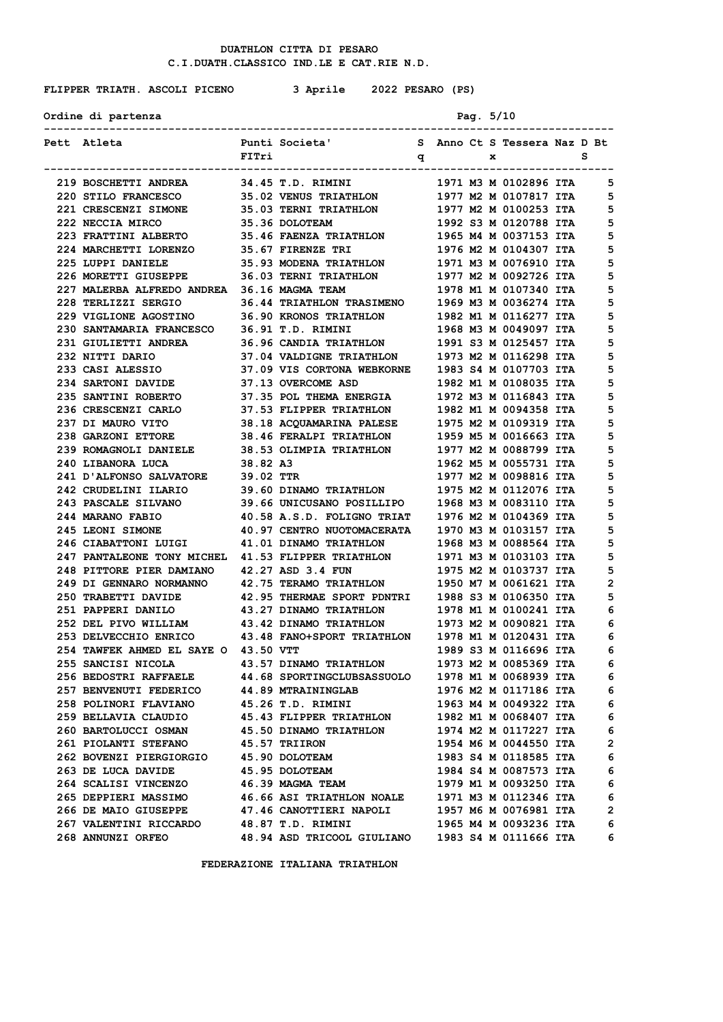# **FLIPPER TRIATH. ASCOLI PICENO 3 Aprile 2022 PESARO (PS)**

| Ordine di partenza | Pag. $5/10$ |  |
|--------------------|-------------|--|
|                    |             |  |

| Pett Atleta                                                                                                                              |          | Punti Societa' Sanno Ct S Tessera Naz D Bt                                                                      |  |  |                       |                |
|------------------------------------------------------------------------------------------------------------------------------------------|----------|-----------------------------------------------------------------------------------------------------------------|--|--|-----------------------|----------------|
|                                                                                                                                          | FITri    |                                                                                                                 |  |  |                       |                |
| 219 BOSCHETTI ANDREA 34.45 T.D. RIMINI                                                                                                   |          |                                                                                                                 |  |  | 1971 M3 M 0102896 ITA | -5             |
| 220 STILO FRANCESCO 35.02 VENUS TRIATHLON 1977 M2 M 0107817 ITA                                                                          |          |                                                                                                                 |  |  |                       | 5              |
| 221 CRESCENZI SIMONE 35.03 TERNI TRIATHLON 1977 M2 M 0100253 ITA                                                                         |          |                                                                                                                 |  |  |                       | 5              |
| 222 NECCIA MIRCO                                                                                                                         |          | 35.36 DOLOTEAM                                                                                                  |  |  | 1992 S3 M 0120788 ITA | 5              |
| 223 FRATTINI ALBERTO 35.46 FAENZA TRIATHLON 1965 M4 M 0037153 ITA                                                                        |          |                                                                                                                 |  |  |                       | 5              |
| 224 MARCHETTI LORENZO                                                                                                                    |          |                                                                                                                 |  |  |                       | 5              |
| 225 LUPPI DANIELE                                                                                                                        |          |                                                                                                                 |  |  |                       | 5              |
| 226 MORETTI GIUSEPPE 36.03 TERNI TRIATHLON 1977 M2 M 0092726 ITA                                                                         |          |                                                                                                                 |  |  |                       | 5              |
| 227 MALERBA ALFREDO ANDREA 36.16 MAGMA TEAM 1978 M1 M 0107340 ITA                                                                        |          |                                                                                                                 |  |  |                       | 5              |
| 228 TERLIZZI SERGIO 36.44 TRIATHLON TRASIMENO 1969 M3 M 0036274 ITA                                                                      |          |                                                                                                                 |  |  |                       | 5              |
| 229 VIGLIONE AGOSTINO 36.90 KRONOS TRIATHLON 1982 M1 M 0116277 ITA                                                                       |          |                                                                                                                 |  |  |                       | 5              |
| 230 SANTAMARIA FRANCESCO 36.91 T.D. RIMINI 1968 M3 M 0049097 ITA<br>231 GIULIETTI ANDREA 36.96 CANDIA TRIATHLON 1991 S3 M 0125457 ITA    |          |                                                                                                                 |  |  |                       | 5              |
|                                                                                                                                          |          |                                                                                                                 |  |  |                       | 5              |
| 232 NITTI DARIO                                                                                                                          |          | 37.04 VALDIGNE TRIATHLON 1973 M2 M 0116298 ITA                                                                  |  |  |                       | 5              |
| 233 CASI ALESSIO 37.09 VIS CORTONA WEBKORNE 1983 S4 M 0107703 ITA                                                                        |          |                                                                                                                 |  |  |                       | 5              |
| 234 SARTONI DAVIDE 37.13 OVERCOME ASD                                                                                                    |          |                                                                                                                 |  |  | 1982 M1 M 0108035 ITA | 5              |
| 235 SANTINI ROBERTO                                                                                                                      |          | 37.35 POL THEMA ENERGIA 1972 M3 M 0116843 ITA                                                                   |  |  |                       | 5              |
| 236 CRESCENZI CARLO                                                                                                                      |          |                                                                                                                 |  |  |                       | 5              |
| 237 DI MAURO VITO                                                                                                                        |          |                                                                                                                 |  |  |                       | 5              |
| 238 GARZONI ETTORE 38.46 FERALPI TRIATHLON 1959 M5 M 0016663 ITA                                                                         |          |                                                                                                                 |  |  |                       | 5              |
| 239 ROMAGNOLI DANIELE 38.53 OLIMPIA TRIATHLON 1977 M2 M 0088799 ITA                                                                      |          |                                                                                                                 |  |  |                       | 5              |
| 240 LIBANORA LUCA                                                                                                                        | 38.82 A3 |                                                                                                                 |  |  | 1962 M5 M 0055731 ITA | 5              |
| 241 D'ALFONSO SALVATORE 39.02 TTR                                                                                                        |          |                                                                                                                 |  |  | 1977 M2 M 0098816 ITA | 5              |
| 242 CRUDELINI ILARIO                                                                                                                     |          |                                                                                                                 |  |  |                       | 5              |
| <b>243 PASCALE SILVANO</b>                                                                                                               |          | 39.60 DINAMO TRIATHLON            1975 M2 M 0112076 ITA<br>39.66 UNICUSANO POSILLIPO      1968 M3 M 0083110 ITA |  |  |                       | 5              |
| <b>244 MARANO FABIO</b>                                                                                                                  |          | 40.58 A.S.D. FOLIGNO TRIAT 1976 M2 M 0104369 ITA                                                                |  |  |                       | 5              |
| 245 LEONI SIMONE 40.97 CENTRO NUOTOMACERATA 1970 M3 M 0103157 ITA                                                                        |          |                                                                                                                 |  |  |                       | 5              |
| 246 CIABATTONI LUIGI 41.01 DINAMO TRIATHLON 1968 M3 M 0088564 ITA                                                                        |          |                                                                                                                 |  |  |                       | 5              |
| 247 PANTALEONE TONY MICHEL 41.53 FLIPPER TRIATHLON 1971 M3 M 0103103 ITA                                                                 |          |                                                                                                                 |  |  |                       | 5              |
| 248 PITTORE PIER DAMIANO 42.27 ASD 3.4 FUN 1975 M2 M 0103737 ITA<br>249 DI GENNARO NORMANNO 42.75 TERAMO TRIATHLON 1950 M7 M 0061621 ITA |          |                                                                                                                 |  |  |                       | 5              |
|                                                                                                                                          |          |                                                                                                                 |  |  |                       | 2              |
| 250 TRABETTI DAVIDE 42.95 THERMAE SPORT PDNTRI 1988 S3 M 0106350 ITA                                                                     |          |                                                                                                                 |  |  |                       | 5              |
| 251 PAPPERI DANILO 43.27 DINAMO TRIATHLON 1978 M1 M 0100241 ITA                                                                          |          |                                                                                                                 |  |  |                       | 6              |
| 252 DEL PIVO WILLIAM 43.42 DINAMO TRIATHLON 1973 M2 M 0090821 ITA                                                                        |          |                                                                                                                 |  |  |                       | 6              |
| 253 DELVECCHIO ENRICO 43.48 FANO+SPORT TRIATHLON 1978 M1 M 0120431 ITA                                                                   |          |                                                                                                                 |  |  |                       | 6              |
| 254 TAWFEK AHMED EL SAYE O 43.50 VTT                                                                                                     |          |                                                                                                                 |  |  | 1989 S3 M 0116696 ITA | 6              |
|                                                                                                                                          |          |                                                                                                                 |  |  |                       | 6              |
| <b>256 BEDOSTRI RAFFAELE</b>                                                                                                             |          | <b>44.68 SPORTINGCLUBSASSUOLO</b>                                                                               |  |  | 1978 M1 M 0068939 ITA | 6              |
| <b>257 BENVENUTI FEDERICO</b>                                                                                                            |          | <b>44.89 MTRAININGLAB</b>                                                                                       |  |  | 1976 M2 M 0117186 ITA | 6              |
| <b>258 POLINORI FLAVIANO</b>                                                                                                             |          | 45.26 T.D. RIMINI                                                                                               |  |  | 1963 M4 M 0049322 ITA | 6              |
| 259 BELLAVIA CLAUDIO                                                                                                                     |          | 45.43 FLIPPER TRIATHLON                                                                                         |  |  | 1982 M1 M 0068407 ITA | 6              |
| 260 BARTOLUCCI OSMAN                                                                                                                     |          | 45.50 DINAMO TRIATHLON                                                                                          |  |  | 1974 M2 M 0117227 ITA | 6              |
| <b>261 PIOLANTI STEFANO</b>                                                                                                              |          | 45.57 TRIIRON                                                                                                   |  |  | 1954 M6 M 0044550 ITA | $\overline{2}$ |
| 262 BOVENZI PIERGIORGIO                                                                                                                  |          | 45.90 DOLOTEAM                                                                                                  |  |  | 1983 S4 M 0118585 ITA | 6              |
| 263 DE LUCA DAVIDE                                                                                                                       |          | 45.95 DOLOTEAM                                                                                                  |  |  | 1984 S4 M 0087573 ITA | 6              |
| 264 SCALISI VINCENZO                                                                                                                     |          | 46.39 MAGMA TEAM                                                                                                |  |  | 1979 M1 M 0093250 ITA | 6              |
| 265 DEPPIERI MASSIMO                                                                                                                     |          | <b>46.66 ASI TRIATHLON NOALE</b>                                                                                |  |  | 1971 M3 M 0112346 ITA | 6              |
| 266 DE MAIO GIUSEPPE                                                                                                                     |          | 47.46 CANOTTIERI NAPOLI                                                                                         |  |  | 1957 M6 M 0076981 ITA | $\overline{2}$ |
| 267 VALENTINI RICCARDO                                                                                                                   |          | 48.87 T.D. RIMINI                                                                                               |  |  | 1965 M4 M 0093236 ITA | 6              |
| 268 ANNUNZI ORFEO                                                                                                                        |          | 48.94 ASD TRICOOL GIULIANO                                                                                      |  |  | 1983 S4 M 0111666 ITA | 6              |
|                                                                                                                                          |          |                                                                                                                 |  |  |                       |                |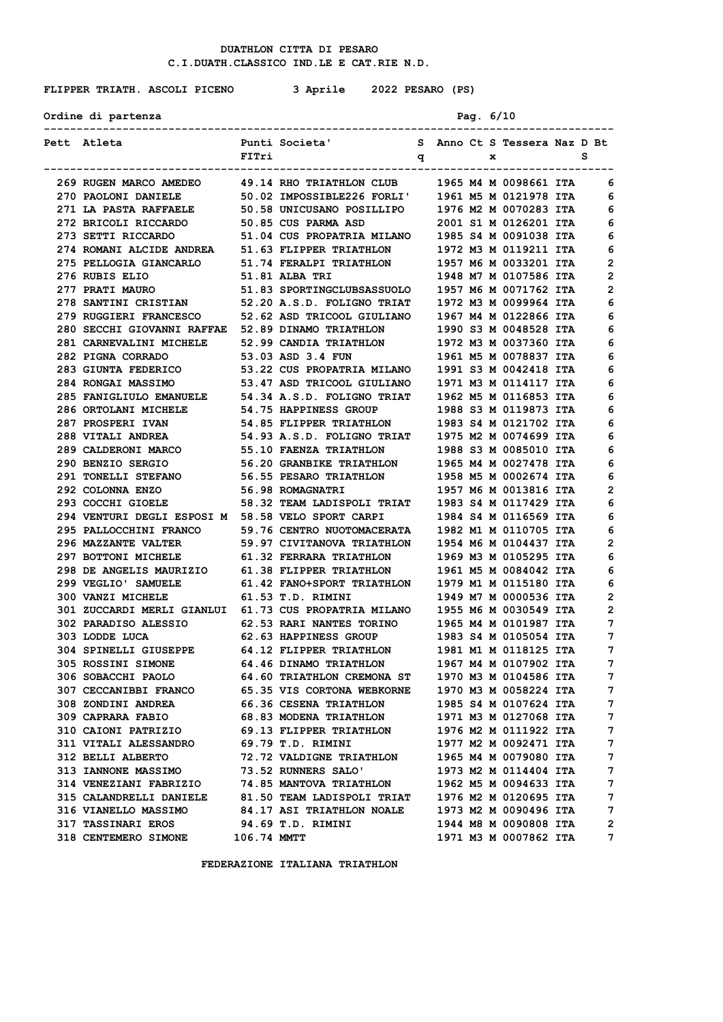# **FLIPPER TRIATH. ASCOLI PICENO 3 Aprile 2022 PESARO (PS)**

**Ordine di partenza Pag. 6/10**

| Pett Atleta                                                                                                                                     |             | Punti Societa' S Anno Ct S Tessera Naz D Bt       |  |              |                         |                   |
|-------------------------------------------------------------------------------------------------------------------------------------------------|-------------|---------------------------------------------------|--|--------------|-------------------------|-------------------|
|                                                                                                                                                 | FITri       | $\mathbf{p}$                                      |  | $\mathbf{x}$ |                         | s                 |
| 269 RUGEN MARCO AMEDEO 49.14 RHO TRIATHLON CLUB 1965 M4 M 0098661 ITA                                                                           |             |                                                   |  |              |                         | 6                 |
| 270 PAOLONI DANIELE 50.02 IMPOSSIBLE226 FORLI' 1961 M5 M 0121978 ITA                                                                            |             |                                                   |  |              |                         | 6                 |
| 271 LA PASTA RAFFAELE 50.58 UNICUSANO POSILLIPO 1976 M2 M 0070283 ITA                                                                           |             |                                                   |  |              |                         | 6                 |
| 272 BRICOLI RICCARDO 50.85 CUS PARMA ASD 2001 S1 M 0126201 ITA                                                                                  |             |                                                   |  |              |                         | 6                 |
| 273 SETTI RICCARDO                                                                                                                              |             | 51.04 CUS PROPATRIA MILANO 1985 S4 M 0091038 ITA  |  |              |                         | 6                 |
|                                                                                                                                                 |             |                                                   |  |              | 1972 M3 M 0119211 ITA   | 6                 |
| 274 ROMANI ALCIDE ANDREA 51.63 FLIPPER TRIATHLON<br>275 PELLOGIA GIANCARLO 51.74 FERALPI TRIATHLON                                              |             |                                                   |  |              | 1957 M6 M 0033201 ITA   | 2                 |
| 276 RUBIS ELIO                                                                                                                                  |             | 51.81 ALBA TRI                                    |  |              | 1948 M7 M 0107586 ITA   | $\mathbf{2}$      |
| 277 PRATI MAURO 51.83 SPORTINGCLUBSASSUOLO 1957 M6 M 0071762 ITA                                                                                |             |                                                   |  |              |                         | 2                 |
| 278 SANTINI CRISTIAN 52.20 A.S.D. FOLIGNO TRIAT 1972 M3 M 0099964 ITA                                                                           |             |                                                   |  |              |                         | 6                 |
| 279 RUGGIERI FRANCESCO 52.62 ASD TRICOOL GIULIANO 1967 M4 M 0122866 ITA                                                                         |             |                                                   |  |              |                         | 6                 |
| 280 SECCHI GIOVANNI RAFFAE 52.89 DINAMO TRIATHLON 1990 S3 M 0048528 ITA<br>281 CARNEVALINI MICHELE 52.99 CANDIA TRIATHLON 1972 M3 M 0037360 ITA |             |                                                   |  |              |                         | 6                 |
|                                                                                                                                                 |             |                                                   |  |              |                         | 6                 |
| 282 PIGNA CORRADO                                                                                                                               |             | 53.03 ASD 3.4 FUN                                 |  |              | 1961 M5 M 0078837 ITA   | 6                 |
| 283 GIUNTA FEDERICO 53.22 CUS PROPATRIA MILANO 1991 S3 M 0042418 ITA                                                                            |             |                                                   |  |              |                         | 6                 |
| 284 RONGAI MASSIMO 53.47 ASD TRICOOL GIULIANO 1971 M3 M 0114117 ITA                                                                             |             |                                                   |  |              |                         | 6                 |
| 285 FANIGLIULO EMANUELE 54.34 A.S.D. FOLIGNO TRIAT 1962 M5 M 0116853 ITA                                                                        |             |                                                   |  |              |                         | 6                 |
| 286 ORTOLANI MICHELE                                                                                                                            |             |                                                   |  |              |                         | 6                 |
| 287 PROSPERI IVAN                                                                                                                               |             |                                                   |  |              |                         | 6                 |
| 288 VITALI ANDREA 54.93 A.S.D. FOLIGNO TRIAT 1975 M2 M 0074699 ITA                                                                              |             |                                                   |  |              |                         | 6                 |
| 289 CALDERONI MARCO 55.10 FAENZA TRIATHLON 1988 S3 M 0085010 ITA                                                                                |             |                                                   |  |              |                         | 6                 |
| <b>290 BENZIO SERGIO</b>                                                                                                                        |             | 56.20 GRANBIKE TRIATHLON 1965 M4 M 0027478 ITA    |  |              |                         | 6                 |
| <b>291 TONELLI STEFANO</b>                                                                                                                      |             | 56.55 PESARO TRIATHLON 1958 M5 M 0002674 ITA      |  |              |                         | 6                 |
| 292 COLONNA ENZO                                                                                                                                |             | 56.98 ROMAGNATRI                                  |  |              | 1957 M6 M 0013816 ITA   | $\overline{2}$    |
| 293 COCCHI GIOELE                                                                                                                               |             | 58.32 TEAM LADISPOLI TRIAT 1983 S4 M 0117429 ITA  |  |              |                         | 6                 |
| 294 VENTURI DEGLI ESPOSI M 58.58 VELO SPORT CARPI 1984 S4 M 0116569 ITA                                                                         |             |                                                   |  |              |                         | 6                 |
| 295 PALLOCCHINI FRANCO 59.76 CENTRO NUOTOMACERATA 1982 M1 M 0110705 ITA                                                                         |             |                                                   |  |              |                         | 6                 |
| 296 MAZZANTE VALTER 59.97 CIVITANOVA TRIATHLON 1954 M6 M 0104437 ITA                                                                            |             |                                                   |  |              |                         | 2                 |
| 297 BOTTONI MICHELE 61.32 FERRARA TRIATHLON                                                                                                     |             |                                                   |  |              | 1969 M3 M 0105295 ITA   | 6                 |
| 298 DE ANGELIS MAURIZIO 61.38 FLIPPER TRIATHLON 1961 M5 M 0084042 ITA<br>299 VEGLIO' SAMUELE 61.42 FANO+SPORT TRIATHLON 1979 M1 M 0115180 ITA   |             |                                                   |  |              |                         | 6                 |
| 299 VEGLIO' SAMUELE<br>300 VANZI MICHELE                                                                                                        |             |                                                   |  |              |                         | 6                 |
| 301 ZUCCARDI MERLI GIANLUI 61.73 CUS PROPATRIA MILANO 1955 M6 M 0030549 ITA                                                                     |             | 61.53 T.D. RIMINI                                 |  |              | 1949 M7 M 0000536 ITA   | $\mathbf{2}$      |
|                                                                                                                                                 |             |                                                   |  |              |                         | $\mathbf{2}$<br>7 |
| 302 PARADISO ALESSIO 62.53 RARI NANTES TORINO 1965 M4 M 0101987 ITA                                                                             |             | 62.63 HAPPINESS GROUP                             |  |              | 1983 S4 M 0105054 ITA   | 7                 |
| 303 LODDE LUCA                                                                                                                                  |             |                                                   |  |              | 1981 M1 M 0118125 ITA   | 7                 |
| 304 SPINELLI GIUSEPPE<br>305 ROSSINI SIMONE                                                                                                     |             | 64.12 FLIPPER TRIATHLON<br>64.46 DINAMO TRIATHLON |  |              | $1967$ M4 M 0107902 ITA | $\overline{7}$    |
| 306 SOBACCHI PAOLO                                                                                                                              |             | 64.60 TRIATHLON CREMONA ST                        |  |              | 1970 M3 M 0104586 ITA   | 7                 |
| 307 CECCANIBBI FRANCO                                                                                                                           |             | 65.35 VIS CORTONA WEBKORNE                        |  |              | 1970 M3 M 0058224 ITA   | 7                 |
| 308 ZONDINI ANDREA                                                                                                                              |             | 66.36 CESENA TRIATHLON                            |  |              | 1985 S4 M 0107624 ITA   | 7                 |
| 309 CAPRARA FABIO                                                                                                                               |             | 68.83 MODENA TRIATHLON                            |  |              | 1971 M3 M 0127068 ITA   | 7                 |
| 310 CAIONI PATRIZIO                                                                                                                             |             | 69.13 FLIPPER TRIATHLON                           |  |              | 1976 M2 M 0111922 ITA   | 7                 |
| <b>311 VITALI ALESSANDRO</b>                                                                                                                    |             | 69.79 T.D. RIMINI                                 |  |              | 1977 M2 M 0092471 ITA   | 7                 |
| 312 BELLI ALBERTO                                                                                                                               |             | 72.72 VALDIGNE TRIATHLON                          |  |              | 1965 M4 M 0079080 ITA   | 7                 |
| <b>313 IANNONE MASSIMO</b>                                                                                                                      |             | 73.52 RUNNERS SALO'                               |  |              | 1973 M2 M 0114404 ITA   | 7                 |
| 314 VENEZIANI FABRIZIO                                                                                                                          |             | 74.85 MANTOVA TRIATHLON                           |  |              | 1962 M5 M 0094633 ITA   | 7                 |
| 315 CALANDRELLI DANIELE                                                                                                                         |             | 81.50 TEAM LADISPOLI TRIAT                        |  |              | 1976 M2 M 0120695 ITA   | 7                 |
| 316 VIANELLO MASSIMO                                                                                                                            |             | <b>84.17 ASI TRIATHLON NOALE</b>                  |  |              | 1973 M2 M 0090496 ITA   | 7                 |
| <b>317 TASSINARI EROS</b>                                                                                                                       |             | 94.69 T.D. RIMINI                                 |  |              | 1944 M8 M 0090808 ITA   | $\mathbf{2}$      |
| 318 CENTEMERO SIMONE                                                                                                                            | 106.74 MMTT |                                                   |  |              | 1971 M3 M 0007862 ITA   | 7                 |
|                                                                                                                                                 |             |                                                   |  |              |                         |                   |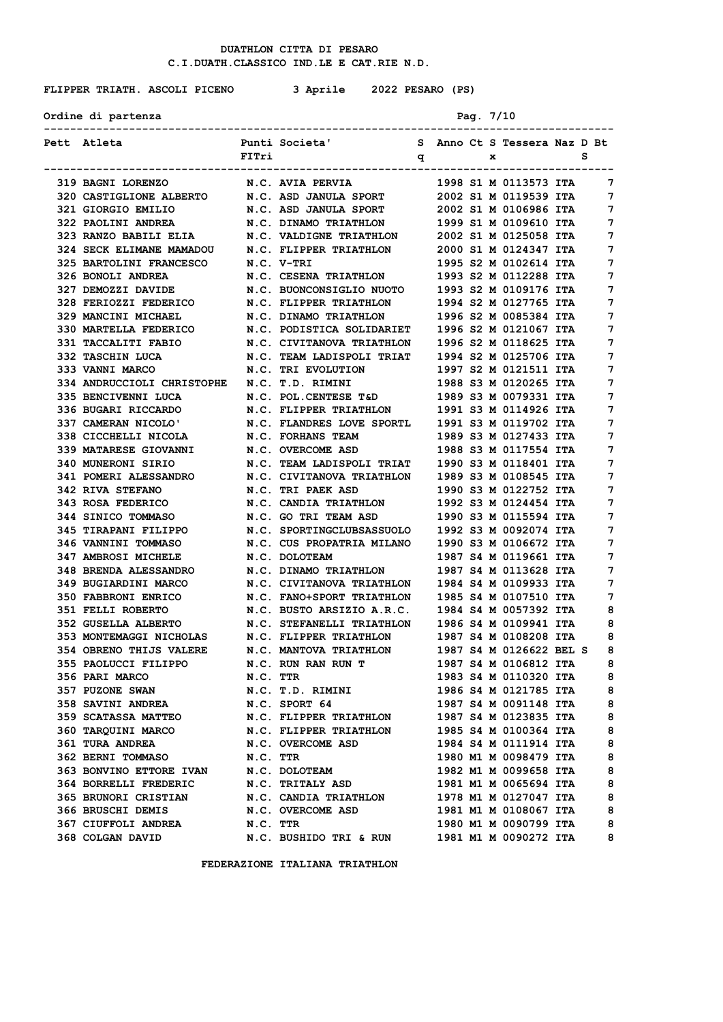# **FLIPPER TRIATH. ASCOLI PICENO 3 Aprile 2022 PESARO (PS)**

**Ordine di partenza Pag. 7/10**

| Pett Atleta                                                                               |          | Punti Societa'               S   Anno Ct S Tessera Naz D Bt |           |   |                         |   |
|-------------------------------------------------------------------------------------------|----------|-------------------------------------------------------------|-----------|---|-------------------------|---|
|                                                                                           | FITri    | $\mathbf q$                                                 | --------- | x |                         | s |
| <b>319 BAGNI LORENZO</b>                                                                  |          | <b>N.C. AVIA PERVIA</b>                                     |           |   | 1998 S1 M 0113573 ITA   | 7 |
| 320 CASTIGLIONE ALBERTO N.C. ASD JANULA SPORT 2002 S1 M 0119539 ITA                       |          |                                                             |           |   |                         | 7 |
| 321 GIORGIO EMILIO                                                                        |          | N.C. ASD JANULA SPORT 2002 S1 M 0106986 ITA                 |           |   |                         | 7 |
| 322 PAOLINI ANDREA N.C. DINAMO TRIATHLON 1999 S1 M 0109610 ITA                            |          |                                                             |           |   |                         | 7 |
| 323 RANZO BABILI ELIA N.C. VALDIGNE TRIATHLON 2002 S1 M 0125058 ITA                       |          |                                                             |           |   |                         | 7 |
| 324 SECK ELIMANE MAMADOU                                                                  |          | N.C. FLIPPER TRIATHLON                                      |           |   | 2000 S1 M 0124347 ITA   | 7 |
| 325 BARTOLINI FRANCESCO                                                                   |          | N.C. V-TRI                                                  |           |   | 1995 S2 M 0102614 ITA   | 7 |
| 326 BONOLI ANDREA                                                                         |          | N.C. CESENA TRIATHLON 1993 S2 M 0112288 ITA                 |           |   |                         | 7 |
| 327 DEMOZZI DAVIDE                                                                        |          | N.C. BUONCONSIGLIO NUOTO 1993 S2 M 0109176 ITA              |           |   |                         | 7 |
| 328 FERIOZZI FEDERICO N.C. FLIPPER TRIATHLON 1994 S2 M 0127765 ITA                        |          |                                                             |           |   |                         | 7 |
| 329 MANCINI MICHAEL                                                                       |          | N.C. DINAMO TRIATHLON                                       |           |   | 1996 S2 M 0085384 ITA   | 7 |
| 330 MARTELLA FEDERICO                                                                     |          | N.C. PODISTICA SOLIDARIET                                   |           |   | 1996 S2 M 0121067 ITA   | 7 |
| 331 TACCALITI FABIO                                                                       |          | N.C. CIVITANOVA TRIATHLON                                   |           |   | 1996 S2 M 0118625 ITA   | 7 |
| 332 TASCHIN LUCA                                                                          |          | N.C. TEAM LADISPOLI TRIAT 1994 S2 M 0125706 ITA             |           |   |                         | 7 |
| <b>333 VANNI MARCO</b>                                                                    |          | N.C. TRI EVOLUTION                                          |           |   | 1997 S2 M 0121511 ITA   | 7 |
| 334 ANDRUCCIOLI CHRISTOPHE N.C. T.D. RIMINI 1988 S3 M 0120265 ITA                         |          |                                                             |           |   |                         | 7 |
| 335 BENCIVENNI LUCA                                                                       |          | N.C. POL. CENTESE T&D                                       |           |   | 1989 S3 M 0079331 ITA   | 7 |
| 336 BUGARI RICCARDO                                                                       |          | N.C. FLIPPER TRIATHLON                                      |           |   | 1991 S3 M 0114926 ITA   | 7 |
| 337 CAMERAN NICOLO'                                                                       |          | N.C. FLANDRES LOVE SPORTL                                   |           |   | 1991 S3 M 0119702 ITA   | 7 |
| 338 CICCHELLI NICOLA                                                                      |          | N.C. FORHANS TEAM                                           |           |   | 1989 S3 M 0127433 ITA   | 7 |
| 339 MATARESE GIOVANNI                                                                     |          | N.C. OVERCOME ASD 1988 S3 M 0117554 ITA                     |           |   |                         | 7 |
| 340 MUNERONI SIRIO M.C. TEAM LADISPOLI TRIAT 1990 S3 M 0118401 ITA                        |          |                                                             |           |   |                         | 7 |
| 341 POMERI ALESSANDRO                                                                     |          | N.C. CIVITANOVA TRIATHLON 1989 S3 M 0108545 ITA             |           |   |                         | 7 |
| <b>342 RIVA STEFANO</b>                                                                   |          |                                                             |           |   |                         | 7 |
| 343 ROSA FEDERICO                                                                         |          |                                                             |           |   |                         | 7 |
| 344 SINICO TOMMASO N.C. GO TRI TEAM ASD 1990 S3 M 0115594 ITA                             |          |                                                             |           |   |                         | 7 |
| 345 TIRAPANI FILIPPO                                                                      |          | N.C. SPORTINGCLUBSASSUOLO 1992 S3 M 0092074 ITA             |           |   |                         | 7 |
| 346 VANNINI TOMMASO                                                                       |          | N.C. CUS PROPATRIA MILANO 1990 S3 M 0106672 ITA             |           |   |                         | 7 |
| <b>347 AMBROSI MICHELE</b>                                                                |          | N.C. DOLOTEAM                                               |           |   | 1987 S4 M 0119661 ITA   | 7 |
| <b>348 BRENDA ALESSANDRO</b>                                                              |          | N.C. DINAMO TRIATHLON                                       |           |   | 1987 S4 M 0113628 ITA   | 7 |
| 349 BUGIARDINI MARCO                                                                      |          | N.C. CIVITANOVA TRIATHLON                                   |           |   | 1984 S4 M 0109933 ITA   | 7 |
| <b>350 FABBRONI ENRICO</b>                                                                |          | N.C. FANO+SPORT TRIATHLON 1985 S4 M 0107510 ITA             |           |   |                         | 7 |
| <b>351 FELLI ROBERTO</b>                                                                  |          | N.C. BUSTO ARSIZIO A.R.C. 1984 S4 M 0057392 ITA             |           |   |                         | 8 |
| 352 GUSELLA ALBERTO                                                                       |          | N.C. STEFANELLI TRIATHLON 1986 S4 M 0109941 ITA             |           |   |                         | 8 |
| 353 MONTEMAGGI NICHOLAS                                                                   |          | N.C. FLIPPER TRIATHLON                                      |           |   | 1987 S4 M 0108208 ITA   | 8 |
| 354 OBRENO THIJS VALERE N.C. MANTOVA TRIATHLON<br>355 PAOLUCCI FILIPPO N.C. RUN RAN RUN T |          |                                                             |           |   | 1987 S4 M 0126622 BEL S | 8 |
|                                                                                           |          |                                                             |           |   | 1987 S4 M 0106812 ITA   | 8 |
| <b>356 PARI MARCO</b>                                                                     | N.C. TTR |                                                             |           |   | 1983 S4 M 0110320 ITA   | 8 |
| 357 PUZONE SWAN                                                                           |          | N.C. T.D. RIMINI                                            |           |   | 1986 S4 M 0121785 ITA   | 8 |
| <b>358 SAVINI ANDREA</b>                                                                  |          | N.C. SPORT 64                                               |           |   | 1987 S4 M 0091148 ITA   | 8 |
| <b>359 SCATASSA MATTEO</b>                                                                |          | N.C. FLIPPER TRIATHLON                                      |           |   | 1987 S4 M 0123835 ITA   | 8 |
| 360 TARQUINI MARCO                                                                        |          | N.C. FLIPPER TRIATHLON                                      |           |   | 1985 S4 M 0100364 ITA   | 8 |
| <b>361 TURA ANDREA</b>                                                                    |          | N.C. OVERCOME ASD                                           |           |   | 1984 S4 M 0111914 ITA   | 8 |
| <b>362 BERNI TOMMASO</b>                                                                  | N.C. TTR |                                                             |           |   | 1980 M1 M 0098479 ITA   | 8 |
| <b>363 BONVINO ETTORE IVAN</b>                                                            |          | N.C. DOLOTEAM                                               |           |   | 1982 M1 M 0099658 ITA   | 8 |
| <b>364 BORRELLI FREDERIC</b>                                                              |          | N.C. TRITALY ASD                                            |           |   | 1981 M1 M 0065694 ITA   | 8 |
| <b>365 BRUNORI CRISTIAN</b>                                                               |          | N.C. CANDIA TRIATHLON                                       |           |   | 1978 M1 M 0127047 ITA   | 8 |
| 366 BRUSCHI DEMIS                                                                         |          | N.C. OVERCOME ASD                                           |           |   | 1981 M1 M 0108067 ITA   | 8 |
| 367 CIUFFOLI ANDREA                                                                       | N.C. TTR |                                                             |           |   | 1980 M1 M 0090799 ITA   | 8 |
| 368 COLGAN DAVID                                                                          |          | N.C. BUSHIDO TRI & RUN                                      |           |   | 1981 M1 M 0090272 ITA   | 8 |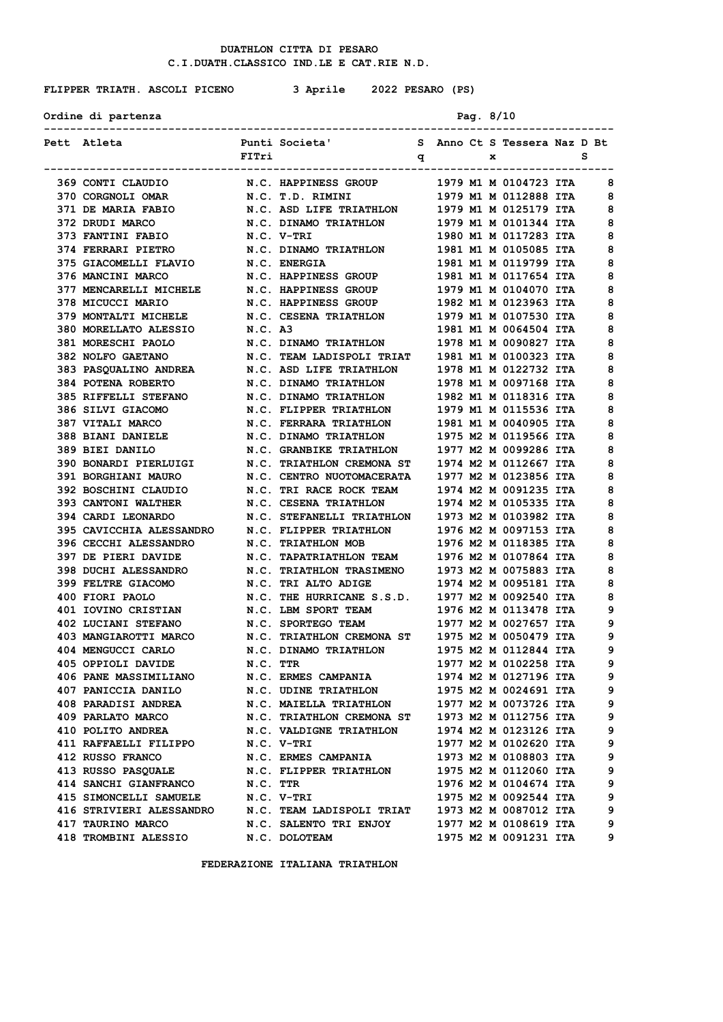**FLIPPER TRIATH. ASCOLI PICENO 3 Aprile 2022 PESARO (PS)**

Ordine di partenza **Pag. 8/10** 

| Pett Atleta                                                                                                                                               |            | Punti Societa' S Anno Ct S Tessera Naz D Bt                                                     |  |              |                                                |        |
|-----------------------------------------------------------------------------------------------------------------------------------------------------------|------------|-------------------------------------------------------------------------------------------------|--|--------------|------------------------------------------------|--------|
|                                                                                                                                                           | FITri      | $\mathbf{q}$                                                                                    |  | $\mathbf{x}$ |                                                | s      |
| 369 CONTI CLAUDIO                                                                                                                                         |            | N.C. HAPPINESS GROUP 1979 M1 M 0104723 ITA                                                      |  |              |                                                | 8      |
| 370 CORGNOLI OMAR N.C. T.D. RIMINI 1979 M1 M 0112888 ITA                                                                                                  |            |                                                                                                 |  |              |                                                | 8      |
| 371 DE MARIA FABIO N.C. ASD LIFE TRIATHLON 1979 M1 M 0125179 ITA                                                                                          |            |                                                                                                 |  |              |                                                | 8      |
| 372 DRUDI MARCO                                                                                                                                           |            | N.C. DINAMO TRIATHLON 1979 M1 M 0101344 ITA                                                     |  |              |                                                | 8      |
| 373 FANTINI FABIO                                                                                                                                         |            | N.C. V-TRI                                                                                      |  |              | 1980 M1 M 0117283 ITA                          | 8      |
| <b>374 FERRARI PIETRO</b>                                                                                                                                 |            | N.C. DINAMO TRIATHLON                                                                           |  |              | 1981 M1 M 0105085 ITA                          | 8      |
| 375 GIACOMELLI FLAVIO                                                                                                                                     |            | <b>N.C. ENERGIA</b>                                                                             |  |              | 1981 M1 M 0119799 ITA                          | 8      |
| 376 MANCINI MARCO                                                                                                                                         |            | N.C. HAPPINESS GROUP 1981 M1 M 0117654 ITA                                                      |  |              |                                                | 8      |
| 377 MENCARELLI MICHELE N.C. HAPPINESS GROUP 1979 M1 M 0104070 ITA                                                                                         |            |                                                                                                 |  |              |                                                | 8      |
| 378 MICUCCI MARIO N.C. HAPPINESS GROUP 1982 M1 M 0123963 ITA                                                                                              |            |                                                                                                 |  |              |                                                | 8      |
| 379 MONTALTI MICHELE N.C. CESENA TRIATHLON 1979 M1 M 0107530 ITA                                                                                          |            |                                                                                                 |  |              |                                                | 8      |
| 380 MORELLATO ALESSIO                                                                                                                                     | N.C. A3    |                                                                                                 |  |              | 1981 M1 M 0064504 ITA                          | 8      |
|                                                                                                                                                           |            |                                                                                                 |  |              |                                                | 8      |
| 381 MORESCHI PAOLO<br>381 MORESCHI PAOLO M.C. DINAMO TRIATHLON 1978 M1 M 0090827 ITA<br>382 NOLFO GAETANO N.C. TEAM LADISPOLI TRIAT 1981 M1 M 0100323 ITA |            |                                                                                                 |  |              |                                                | 8      |
| 383 PASQUALINO ANDREA N.C. ASD LIFE TRIATHLON 1978 M1 M 0122732 ITA                                                                                       |            |                                                                                                 |  |              |                                                | 8      |
| 384 POTENA ROBERTO                                                                                                                                        |            | N.C. DINAMO TRIATHLON 1978 M1 M 0097168 ITA                                                     |  |              |                                                | 8      |
|                                                                                                                                                           |            |                                                                                                 |  |              |                                                | 8      |
| 385 RIFFELLI STEFANO N.C. DINAMO TRIATHLON 1982 M1 M 0118316 ITA<br>386 SILVI GIACOMO                                                                     |            |                                                                                                 |  |              | 1979 M1 M 0115536 ITA                          | 8      |
| <b>387 VITALI MARCO</b>                                                                                                                                   |            | N.C. FLIPPER TRIATHLON<br>N.C. FERRARA TRIATHLON                                                |  |              | 1981 M1 M 0040905 ITA                          | 8      |
| <b>388 BIANI DANIELE</b>                                                                                                                                  |            | N.C. DINAMO TRIATHLON 1975 M2 M 0119566 ITA                                                     |  |              |                                                | 8      |
| 389 BIEI DANILO                                                                                                                                           |            | N.C. GRANBIKE TRIATHLON 1977 M2 M 0099286 ITA                                                   |  |              |                                                | 8      |
|                                                                                                                                                           |            |                                                                                                 |  |              |                                                | 8      |
| 390 BONARDI PIERLUIGI N.C. TRIATHLON CREMONA ST 1974 M2 M 0112667 ITA<br>391 BORGHIANI MAURO                                                              |            |                                                                                                 |  |              |                                                | 8      |
|                                                                                                                                                           |            | N.C. CENTRO NUOTOMACERATA 1977 M2 M 0123856 ITA                                                 |  |              |                                                | 8      |
| 392 BOSCHINI CLAUDIO<br>393 CANTONI WALTHER                                                                                                               |            | N.C. TRI RACE ROCK TEAM 1974 M2 M 0091235 ITA<br>N.C. CESENA TRIATHLON 1974 M2 M 0105335 ITA    |  |              |                                                | 8      |
| 394 CARDI LEONARDO N.C. STEFANELLI TRIATHLON 1973 M2 M 0103982 ITA                                                                                        |            |                                                                                                 |  |              |                                                | 8      |
| 395 CAVICCHIA ALESSANDRO N.C. FLIPPER TRIATHLON 1976 M2 M 0097153 ITA                                                                                     |            |                                                                                                 |  |              |                                                | 8      |
|                                                                                                                                                           |            |                                                                                                 |  |              |                                                | 8      |
| 396 CECCHI ALESSANDRO N.C. TRIATHLON MOB<br>397 DE PIERI DAVIDE                                                                                           |            |                                                                                                 |  |              | 1976 M2 M 0118385 ITA                          | 8      |
| <b>398 DUCHI ALESSANDRO</b>                                                                                                                               |            | N.C. TAPATRIATHLON TEAM 1976 M2 M 0107864 ITA                                                   |  |              | 1973 M2 M 0075883 ITA                          | 8      |
| <b>399 FELTRE GIACOMO</b>                                                                                                                                 |            | N.C. TRIATHLON TRASIMENO<br>N.C. TRI ALTO ADIGE                                                 |  |              | 1974 M2 M 0095181 ITA                          | 8      |
| 400 FIORI PAOLO                                                                                                                                           |            | N.C. THE HURRICANE S.S.D. 1977 M2 M 0092540 ITA                                                 |  |              |                                                | 8      |
| 401 IOVINO CRISTIAN M.C. LBM SPORT TEAM 1976 M2 M 0113478 ITA                                                                                             |            |                                                                                                 |  |              |                                                | 9      |
| 402 LUCIANI STEFANO N.C. SPORTEGO TEAM                                                                                                                    |            |                                                                                                 |  |              | 1977 M2 M 0027657 ITA                          | 9      |
|                                                                                                                                                           |            |                                                                                                 |  |              |                                                | 9      |
| 403 MANGIAROTTI MARCO N.C. TRIATHLON CREMONA ST 1975 M2 M 0050479 ITA                                                                                     |            |                                                                                                 |  |              |                                                | 9      |
| 404 MENGUCCI CARLO<br>405 OPPIOLI DAVIDE                                                                                                                  |            |                                                                                                 |  |              |                                                | 9      |
|                                                                                                                                                           |            |                                                                                                 |  |              | 1974 M2 M 0127196 ITA                          | 9      |
| <b>406 PANE MASSIMILIANO</b>                                                                                                                              |            | N.C. ERMES CAMPANIA<br>N.C. UDINE TRIATHLON                                                     |  |              | 1975 M2 M 0024691 ITA                          | 9      |
| 407 PANICCIA DANILO<br>408 PARADISI ANDREA                                                                                                                |            |                                                                                                 |  |              |                                                | 9      |
|                                                                                                                                                           |            | N.C. MAIELLA TRIATHLON 1977 M2 M 0073726 ITA<br>N.C. TRIATHLON CREMONA ST 1973 M2 M 0112756 ITA |  |              |                                                | 9      |
| 409 PARLATO MARCO                                                                                                                                         |            |                                                                                                 |  |              |                                                | 9      |
| 410 POLITO ANDREA                                                                                                                                         |            | N.C. VALDIGNE TRIATHLON                                                                         |  |              | 1974 M2 M 0123126 ITA                          | 9      |
| 411 RAFFAELLI FILIPPO                                                                                                                                     | N.C. V-TRI |                                                                                                 |  |              | 1977 M2 M 0102620 ITA                          |        |
| 412 RUSSO FRANCO                                                                                                                                          |            | N.C. ERMES CAMPANIA                                                                             |  |              | 1973 M2 M 0108803 ITA                          | 9      |
| 413 RUSSO PASQUALE N.C. FLIPPER TRIATHLON                                                                                                                 |            |                                                                                                 |  |              | 1975 M2 M 0112060 ITA                          | 9<br>9 |
| 414 SANCHI GIANFRANCO                                                                                                                                     | N.C. TTR   |                                                                                                 |  |              | 1976 M2 M 0104674 ITA                          | 9      |
| 415 SIMONCELLI SAMUELE                                                                                                                                    |            | N.C. V-TRI                                                                                      |  |              | 1975 M2 M 0092544 ITA                          |        |
| 416 STRIVIERI ALESSANDRO<br>417 TAURINO MARCO                                                                                                             |            | N.C. TEAM LADISPOLI TRIAT                                                                       |  |              | 1973 M2 M 0087012 ITA<br>1977 M2 M 0108619 ITA | 9<br>9 |
|                                                                                                                                                           |            | N.C. SALENTO TRI ENJOY                                                                          |  |              |                                                | 9      |
| <b>418 TROMBINI ALESSIO</b>                                                                                                                               |            | N.C. DOLOTEAM                                                                                   |  |              | 1975 M2 M 0091231 ITA                          |        |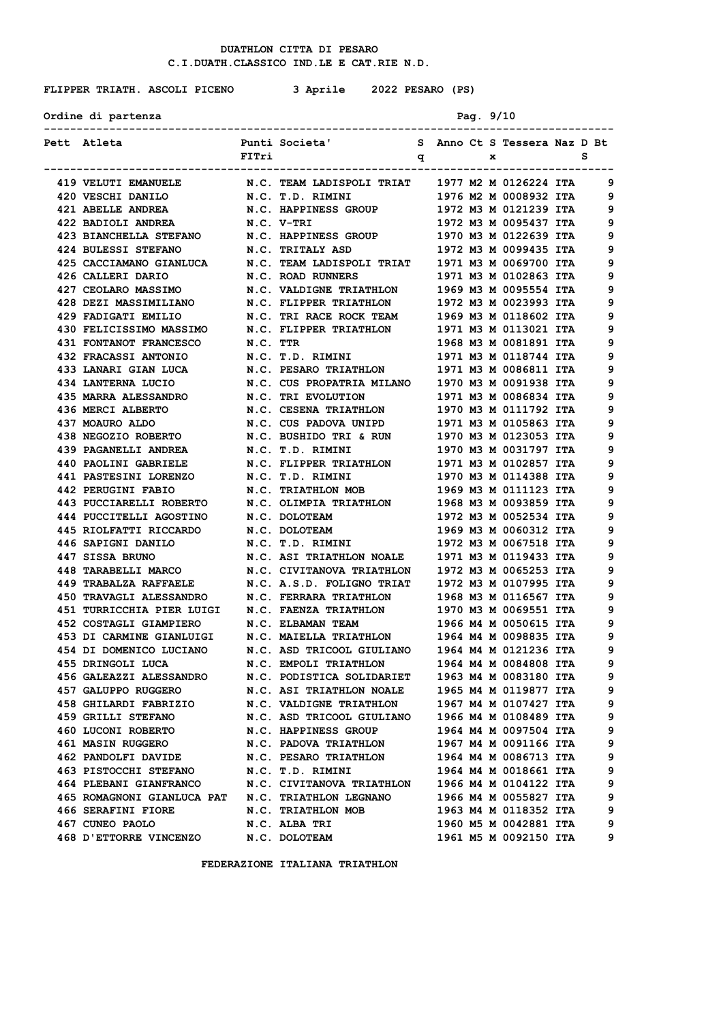**FLIPPER TRIATH. ASCOLI PICENO 3 Aprile 2022 PESARO (PS)**

Ordine di partenza **Pag.** 9/10

| Pett Atleta                                                                                                                                                    | FITri | Punti Societa' S Anno Ct S Tessera Naz D Bt       |  | x |                                                   | s |
|----------------------------------------------------------------------------------------------------------------------------------------------------------------|-------|---------------------------------------------------|--|---|---------------------------------------------------|---|
|                                                                                                                                                                |       | $\mathbf{q}$<br>_________________________________ |  |   |                                                   |   |
| <b>419 VELUTI EMANUELE</b>                                                                                                                                     |       | N.C. TEAM LADISPOLI TRIAT 1977 M2 M 0126224 ITA   |  |   |                                                   | 9 |
| 420 VESCHI DANILO                                                                                                                                              |       | N.C. T.D. RIMINI                                  |  |   | 1976 M2 M 0008932 ITA                             | 9 |
| 421 ABELLE ANDREA N.C. HAPPINESS GROUP 1972 M3 M 0121239 ITA                                                                                                   |       |                                                   |  |   |                                                   | 9 |
| 422 BADIOLI ANDREA N.C. V-TRI                                                                                                                                  |       |                                                   |  |   | 1972 M3 M 0095437 ITA                             | 9 |
| 423 BIANCHELLA STEFANO N.C. HAPPINESS GROUP 1970 M3 M 0122639 ITA                                                                                              |       |                                                   |  |   |                                                   | 9 |
| 424 BULESSI STEFANO                                                                                                                                            |       | N.C. TRITALY ASD                                  |  |   | 1972 M3 M 0099435 ITA                             | 9 |
| 425 CACCIAMANO GIANLUCA                                                                                                                                        |       | N.C. TEAM LADISPOLI TRIAT 1971 M3 M 0069700 ITA   |  |   |                                                   | 9 |
| 426 CALLERI DARIO                                                                                                                                              |       | N.C. ROAD RUNNERS                                 |  |   | 1971 M3 M 0102863 ITA                             | 9 |
| 427 CEOLARO MASSIMO N.C. VALDIGNE TRIATHLON 1969 M3 M 0095554 ITA                                                                                              |       |                                                   |  |   |                                                   | 9 |
| 428 DEZI MASSIMILIANO N.C. FLIPPER TRIATHLON 1972 M3 M 0023993 ITA                                                                                             |       |                                                   |  |   |                                                   | 9 |
| 429 FADIGATI EMILIO N.C. TRI RACE ROCK TEAM 1969 M3 M 0118602 ITA                                                                                              |       |                                                   |  |   |                                                   | 9 |
| 430 FELICISSIMO MASSIMO                                                                                                                                        |       | N.C. FLIPPER TRIATHLON                            |  |   | 1971 M3 M 0113021 ITA                             | 9 |
| <b>431 FONTANOT FRANCESCO</b>                                                                                                                                  |       | N.C. TTR                                          |  |   | 1968 M3 M 0081891 ITA                             | 9 |
| <b>432 FRACASSI ANTONIO</b>                                                                                                                                    |       | N.C. T.D. RIMINI 1971 M3 M 0118744 ITA            |  |   |                                                   | 9 |
| 433 LANARI GIAN LUCA N.C. PESARO TRIATHLON 1971 M3 M 0086811 ITA                                                                                               |       |                                                   |  |   |                                                   | 9 |
| 434 LANTERNA LUCIO N.C. CUS PROPATRIA MILANO 1970 M3 M 0091938 ITA                                                                                             |       |                                                   |  |   |                                                   | 9 |
| 435 MARRA ALESSANDRO N.C. TRI EVOLUTION                                                                                                                        |       |                                                   |  |   | 1971 M3 M 0086834 ITA                             | 9 |
| 436 MERCI ALBERTO                                                                                                                                              |       | N.C. CESENA TRIATHLON<br>N.C. CUS PADOVA UNIPD    |  |   | 1970 M3 M 0111792 ITA                             | 9 |
| 437 MOAURO ALDO                                                                                                                                                |       |                                                   |  |   | ----<br>1971 M3 M 0105863 ITA                     | 9 |
| 438 NEGOZIO ROBERTO M.C. BUSHIDO TRI & RUN 1970 M3 M 0123053 ITA                                                                                               |       |                                                   |  |   |                                                   | 9 |
| 439 PAGANELLI ANDREA N.C. T.D. RIMINI 1970 M3 M 0031797 ITA                                                                                                    |       |                                                   |  |   |                                                   | 9 |
| 440 PAOLINI GABRIELE N.C. FLIPPER TRIATHLON 1971 M3 M 0102857 ITA                                                                                              |       |                                                   |  |   |                                                   | 9 |
| 441 PASTESINI LORENZO N.C. T.D. RIMINI                                                                                                                         |       |                                                   |  |   | 1970 M3 M 0114388 ITA                             | 9 |
|                                                                                                                                                                |       |                                                   |  |   | 1969 M3 M 0111123 ITA                             | 9 |
| 442 PERUGINI FABIO N.C. TRIATHLON MOB<br>443 PUCCIARELLI ROBERTO N.C. OLIMPIA TRIATHLON                                                                        |       |                                                   |  |   | ---- --- -- ------- ----<br>1968 м3 м 0093859 ITA | 9 |
| 444 PUCCITELLI AGOSTINO N.C. DOLOTEAM                                                                                                                          |       |                                                   |  |   | 1972 M3 M 0052534 ITA                             | 9 |
| 445 RIOLFATTI RICCARDO N.C. DOLOTEAM                                                                                                                           |       |                                                   |  |   | 1969 M3 M 0060312 ITA                             | 9 |
| 446 SAPIGNI DANILO                                                                                                                                             |       | N.C. T.D. RIMINI                                  |  |   | 1972 МЗ М 0067518 ІТА                             | 9 |
| 447 SISSA BRUNO                                                                                                                                                |       | N.C. ASI TRIATHLON NOALE 1971 M3 M 0119433 ITA    |  |   |                                                   | 9 |
|                                                                                                                                                                |       |                                                   |  |   | 1972 M3 M 0065253 ITA                             | 9 |
| 448 TARABELLI MARCO           N.C. CIVITANOVA TRIATHLON<br>449 TRABALZA RAFFAELE         N.C. A.S.D. FOLIGNO TRIAT                                             |       |                                                   |  |   | 1972 M3 M 0107995 ITA                             | 9 |
| 450 TRAVAGLI ALESSANDRO N.C. FERRARA TRIATHLON 1968 M3 M 0116567 ITA                                                                                           |       |                                                   |  |   |                                                   | 9 |
| 451 TURRICCHIA PIER LUIGI N.C. FAENZA TRIATHLON 1970 M3 M 0069551 ITA                                                                                          |       |                                                   |  |   |                                                   | 9 |
| 452 COSTAGLI GIAMPIERO N.C. ELBAMAN TEAM 1966 M4 M 0050615 ITA                                                                                                 |       |                                                   |  |   |                                                   | 9 |
| 453 DI CARMINE GIANLUIGI N.C. MAIELLA TRIATHLON 1964 M4 M 0098835 ITA                                                                                          |       |                                                   |  |   |                                                   | 9 |
|                                                                                                                                                                |       |                                                   |  |   |                                                   | 9 |
| 454 DI DOMENICO LUCIANO      N.C. ASD TRICOOL GIULIANO    1964 M4 M 0121236 ITA<br>455 DRINGOLI LUCA         N.C. EMPOLI TRIATHLON       1964 M4 M 0084808 ITA |       |                                                   |  |   |                                                   | 9 |
| <b>456 GALEAZZI ALESSANDRO</b>                                                                                                                                 |       | N.C. PODISTICA SOLIDARIET                         |  |   | 1963 M4 M 0083180 ITA                             | 9 |
| 457 GALUPPO RUGGERO                                                                                                                                            |       | N.C. ASI TRIATHLON NOALE                          |  |   | 1965 M4 M 0119877 ITA                             | 9 |
| 458 GHILARDI FABRIZIO N.C. VALDIGNE TRIATHLON                                                                                                                  |       |                                                   |  |   | 1967 M4 M 0107427 ITA                             | 9 |
| <b>459 GRILLI STEFANO</b>                                                                                                                                      |       | N.C. ASD TRICOOL GIULIANO 1966 M4 M 0108489 ITA   |  |   |                                                   | 9 |
| 460 LUCONI ROBERTO                                                                                                                                             |       | N.C. HAPPINESS GROUP                              |  |   | 1964 M4 M 0097504 ITA                             | 9 |
| <b>461 MASIN RUGGERO</b>                                                                                                                                       |       | N.C. PADOVA TRIATHLON                             |  |   | 1967 M4 M 0091166 ITA                             | 9 |
| 462 PANDOLFI DAVIDE N.C. PESARO TRIATHLON                                                                                                                      |       |                                                   |  |   | 1964 M4 M 0086713 ITA                             | 9 |
| 463 PISTOCCHI STEFANO N.C. T.D. RIMINI                                                                                                                         |       |                                                   |  |   | 1964 M4 M 0018661 ITA                             | 9 |
| 464 PLEBANI GIANFRANCO N.C. CIVITANOVA TRIATHLON 1966 M4 M 0104122 ITA                                                                                         |       |                                                   |  |   |                                                   | 9 |
| 465 ROMAGNONI GIANLUCA PAT N.C. TRIATHLON LEGNANO                                                                                                              |       |                                                   |  |   | 1966 M4 M 0055827 ITA                             | 9 |
| 466 SERAFINI FIORE                                                                                                                                             |       | <b>N.C. TRIATHLON MOB</b>                         |  |   | 1963 M4 M 0118352 ITA                             | 9 |
| 467 CUNEO PAOLO                                                                                                                                                |       | N.C. ALBA TRI                                     |  |   | 1960 M5 M 0042881 ITA                             | 9 |
| 468 D'ETTORRE VINCENZO                                                                                                                                         |       | N.C. DOLOTEAM                                     |  |   | 1961 M5 M 0092150 ITA                             | 9 |